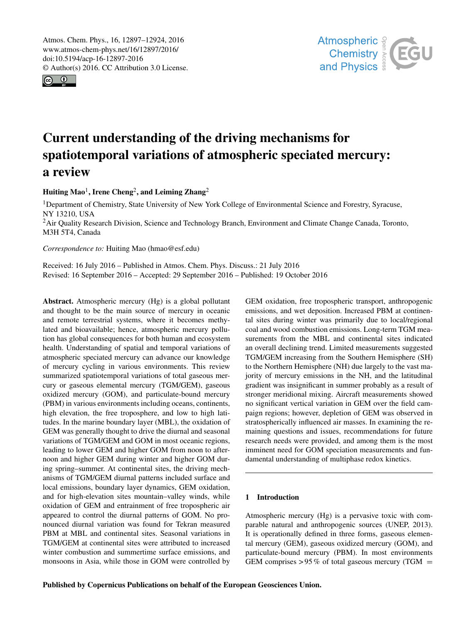<span id="page-0-1"></span>Atmos. Chem. Phys., 16, 12897–12924, 2016 www.atmos-chem-phys.net/16/12897/2016/ doi:10.5194/acp-16-12897-2016 © Author(s) 2016. CC Attribution 3.0 License.





# Current understanding of the driving mechanisms for spatiotemporal variations of atmospheric speciated mercury: a review

Huiting Mao<sup>[1](#page-0-0)</sup>, Irene Cheng<sup>[2](#page-0-0)</sup>, and Leiming Zhang<sup>2</sup>

<sup>1</sup>Department of Chemistry, State University of New York College of Environmental Science and Forestry, Syracuse, NY 13210, USA <sup>2</sup>Air Quality Research Division, Science and Technology Branch, Environment and Climate Change Canada, Toronto, M3H 5T4, Canada

*Correspondence to:* Huiting Mao (hmao@esf.edu)

Received: 16 July 2016 – Published in Atmos. Chem. Phys. Discuss.: 21 July 2016 Revised: 16 September 2016 – Accepted: 29 September 2016 – Published: 19 October 2016

<span id="page-0-0"></span>Abstract. Atmospheric mercury (Hg) is a global pollutant and thought to be the main source of mercury in oceanic and remote terrestrial systems, where it becomes methylated and bioavailable; hence, atmospheric mercury pollution has global consequences for both human and ecosystem health. Understanding of spatial and temporal variations of atmospheric speciated mercury can advance our knowledge of mercury cycling in various environments. This review summarized spatiotemporal variations of total gaseous mercury or gaseous elemental mercury (TGM/GEM), gaseous oxidized mercury (GOM), and particulate-bound mercury (PBM) in various environments including oceans, continents, high elevation, the free troposphere, and low to high latitudes. In the marine boundary layer (MBL), the oxidation of GEM was generally thought to drive the diurnal and seasonal variations of TGM/GEM and GOM in most oceanic regions, leading to lower GEM and higher GOM from noon to afternoon and higher GEM during winter and higher GOM during spring–summer. At continental sites, the driving mechanisms of TGM/GEM diurnal patterns included surface and local emissions, boundary layer dynamics, GEM oxidation, and for high-elevation sites mountain–valley winds, while oxidation of GEM and entrainment of free tropospheric air appeared to control the diurnal patterns of GOM. No pronounced diurnal variation was found for Tekran measured PBM at MBL and continental sites. Seasonal variations in TGM/GEM at continental sites were attributed to increased winter combustion and summertime surface emissions, and monsoons in Asia, while those in GOM were controlled by GEM oxidation, free tropospheric transport, anthropogenic emissions, and wet deposition. Increased PBM at continental sites during winter was primarily due to local/regional coal and wood combustion emissions. Long-term TGM measurements from the MBL and continental sites indicated an overall declining trend. Limited measurements suggested TGM/GEM increasing from the Southern Hemisphere (SH) to the Northern Hemisphere (NH) due largely to the vast majority of mercury emissions in the NH, and the latitudinal gradient was insignificant in summer probably as a result of stronger meridional mixing. Aircraft measurements showed no significant vertical variation in GEM over the field campaign regions; however, depletion of GEM was observed in stratospherically influenced air masses. In examining the remaining questions and issues, recommendations for future research needs were provided, and among them is the most imminent need for GOM speciation measurements and fundamental understanding of multiphase redox kinetics.

# 1 Introduction

Atmospheric mercury (Hg) is a pervasive toxic with comparable natural and anthropogenic sources (UNEP, 2013). It is operationally defined in three forms, gaseous elemental mercury (GEM), gaseous oxidized mercury (GOM), and particulate-bound mercury (PBM). In most environments GEM comprises  $> 95\%$  of total gaseous mercury (TGM =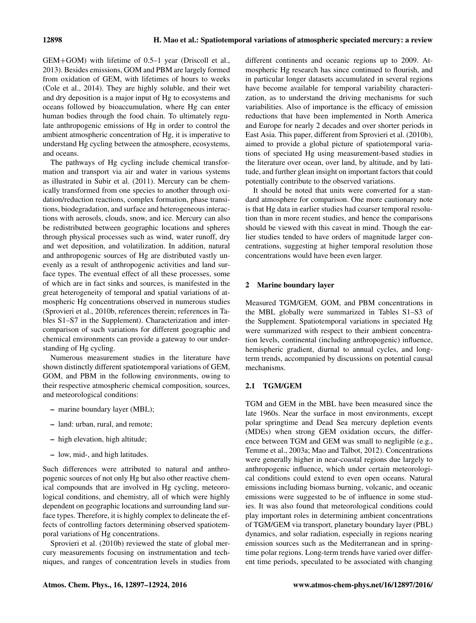GEM+GOM) with lifetime of 0.5–1 year (Driscoll et al., 2013). Besides emissions, GOM and PBM are largely formed from oxidation of GEM, with lifetimes of hours to weeks (Cole et al., 2014). They are highly soluble, and their wet and dry deposition is a major input of Hg to ecosystems and oceans followed by bioaccumulation, where Hg can enter human bodies through the food chain. To ultimately regulate anthropogenic emissions of Hg in order to control the ambient atmospheric concentration of Hg, it is imperative to understand Hg cycling between the atmosphere, ecosystems, and oceans.

The pathways of Hg cycling include chemical transformation and transport via air and water in various systems as illustrated in Subir et al. (2011). Mercury can be chemically transformed from one species to another through oxidation/reduction reactions, complex formation, phase transitions, biodegradation, and surface and heterogeneous interactions with aerosols, clouds, snow, and ice. Mercury can also be redistributed between geographic locations and spheres through physical processes such as wind, water runoff, dry and wet deposition, and volatilization. In addition, natural and anthropogenic sources of Hg are distributed vastly unevenly as a result of anthropogenic activities and land surface types. The eventual effect of all these processes, some of which are in fact sinks and sources, is manifested in the great heterogeneity of temporal and spatial variations of atmospheric Hg concentrations observed in numerous studies (Sprovieri et al., 2010b, references therein; references in Tables S1–S7 in the Supplement). Characterization and intercomparison of such variations for different geographic and chemical environments can provide a gateway to our understanding of Hg cycling.

Numerous measurement studies in the literature have shown distinctly different spatiotemporal variations of GEM, GOM, and PBM in the following environments, owing to their respective atmospheric chemical composition, sources, and meteorological conditions:

- marine boundary layer (MBL);
- land: urban, rural, and remote;
- high elevation, high altitude;
- low, mid-, and high latitudes.

Such differences were attributed to natural and anthropogenic sources of not only Hg but also other reactive chemical compounds that are involved in Hg cycling, meteorological conditions, and chemistry, all of which were highly dependent on geographic locations and surrounding land surface types. Therefore, it is highly complex to delineate the effects of controlling factors determining observed spatiotemporal variations of Hg concentrations.

Sprovieri et al. (2010b) reviewed the state of global mercury measurements focusing on instrumentation and techniques, and ranges of concentration levels in studies from

different continents and oceanic regions up to 2009. Atmospheric Hg research has since continued to flourish, and in particular longer datasets accumulated in several regions have become available for temporal variability characterization, as to understand the driving mechanisms for such variabilities. Also of importance is the efficacy of emission reductions that have been implemented in North America and Europe for nearly 2 decades and over shorter periods in East Asia. This paper, different from Sprovieri et al. (2010b), aimed to provide a global picture of spatiotemporal variations of speciated Hg using measurement-based studies in the literature over ocean, over land, by altitude, and by latitude, and further glean insight on important factors that could potentially contribute to the observed variations.

It should be noted that units were converted for a standard atmosphere for comparison. One more cautionary note is that Hg data in earlier studies had coarser temporal resolution than in more recent studies, and hence the comparisons should be viewed with this caveat in mind. Though the earlier studies tended to have orders of magnitude larger concentrations, suggesting at higher temporal resolution those concentrations would have been even larger.

# 2 Marine boundary layer

Measured TGM/GEM, GOM, and PBM concentrations in the MBL globally were summarized in Tables S1–S3 of the Supplement. Spatiotemporal variations in speciated Hg were summarized with respect to their ambient concentration levels, continental (including anthropogenic) influence, hemispheric gradient, diurnal to annual cycles, and longterm trends, accompanied by discussions on potential causal mechanisms.

# 2.1 TGM/GEM

TGM and GEM in the MBL have been measured since the late 1960s. Near the surface in most environments, except polar springtime and Dead Sea mercury depletion events (MDEs) when strong GEM oxidation occurs, the difference between TGM and GEM was small to negligible (e.g., Temme et al., 2003a; Mao and Talbot, 2012). Concentrations were generally higher in near-coastal regions due largely to anthropogenic influence, which under certain meteorological conditions could extend to even open oceans. Natural emissions including biomass burning, volcanic, and oceanic emissions were suggested to be of influence in some studies. It was also found that meteorological conditions could play important roles in determining ambient concentrations of TGM/GEM via transport, planetary boundary layer (PBL) dynamics, and solar radiation, especially in regions nearing emission sources such as the Mediterranean and in springtime polar regions. Long-term trends have varied over different time periods, speculated to be associated with changing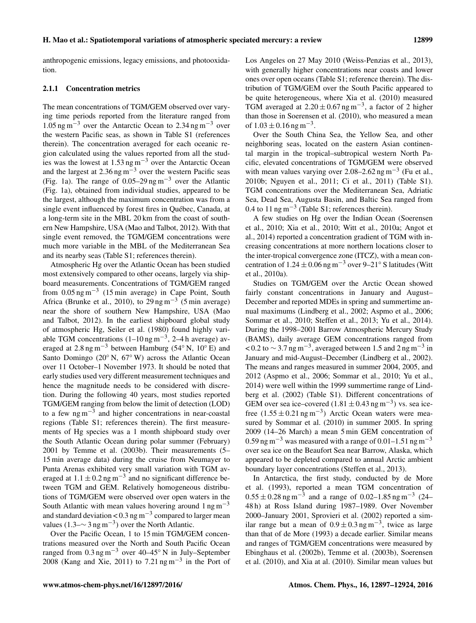anthropogenic emissions, legacy emissions, and photooxidation.

# 2.1.1 Concentration metrics

The mean concentrations of TGM/GEM observed over varying time periods reported from the literature ranged from  $1.05$  ng m<sup>-3</sup> over the Antarctic Ocean to 2.34 ng m<sup>-3</sup> over the western Pacific seas, as shown in Table S1 (references therein). The concentration averaged for each oceanic region calculated using the values reported from all the studies was the lowest at 1.53 ng m−<sup>3</sup> over the Antarctic Ocean and the largest at  $2.36$  ng m<sup>-3</sup> over the western Pacific seas (Fig. 1a). The range of  $0.05-29$  ng m<sup>-3</sup> over the Atlantic (Fig. 1a), obtained from individual studies, appeared to be the largest, although the maximum concentration was from a single event influenced by forest fires in Québec, Canada, at a long-term site in the MBL 20 km from the coast of southern New Hampshire, USA (Mao and Talbot, 2012). With that single event removed, the TGM/GEM concentrations were much more variable in the MBL of the Mediterranean Sea and its nearby seas (Table S1; references therein).

Atmospheric Hg over the Atlantic Ocean has been studied most extensively compared to other oceans, largely via shipboard measurements. Concentrations of TGM/GEM ranged from  $0.05$  ng m<sup>-3</sup> (15 min average) in Cape Point, South Africa (Brunke et al., 2010), to  $29 \text{ ng m}^{-3}$  (5 min average) near the shore of southern New Hampshire, USA (Mao and Talbot, 2012). In the earliest shipboard global study of atmospheric Hg, Seiler et al. (1980) found highly variable TGM concentrations  $(1-10 \text{ ng m}^{-3}, 2-4 \text{ h}$  average) averaged at 2.8 ng m<sup>-3</sup> between Hamburg (54<sup>°</sup> N, 10<sup>°</sup> E) and Santo Domingo (20◦ N, 67◦ W) across the Atlantic Ocean over 11 October–1 November 1973. It should be noted that early studies used very different measurement techniques and hence the magnitude needs to be considered with discretion. During the following 40 years, most studies reported TGM/GEM ranging from below the limit of detection (LOD) to a few  $ng\,m^{-3}$  and higher concentrations in near-coastal regions (Table S1; references therein). The first measurements of Hg species was a 1 month shipboard study over the South Atlantic Ocean during polar summer (February) 2001 by Temme et al. (2003b). Their measurements (5– 15 min average data) during the cruise from Neumayer to Punta Arenas exhibited very small variation with TGM averaged at  $1.1 \pm 0.2$  ng m<sup>-3</sup> and no significant difference between TGM and GEM. Relatively homogeneous distributions of TGM/GEM were observed over open waters in the South Atlantic with mean values hovering around  $1 \text{ ng m}^{-3}$ and standard deviation <  $0.3$  ng m<sup>-3</sup> compared to larger mean values  $(1.3 - \sim 3 \text{ ng m}^{-3})$  over the North Atlantic.

Over the Pacific Ocean, 1 to 15 min TGM/GEM concentrations measured over the North and South Pacific Ocean ranged from 0.3 ng m−<sup>3</sup> over 40–45◦ N in July–September 2008 (Kang and Xie, 2011) to 7.21 ng m−<sup>3</sup> in the Port of

Los Angeles on 27 May 2010 (Weiss-Penzias et al., 2013), with generally higher concentrations near coasts and lower ones over open oceans (Table S1; reference therein). The distribution of TGM/GEM over the South Pacific appeared to be quite heterogeneous, where Xia et al. (2010) measured TGM averaged at  $2.20 \pm 0.67$  ng m<sup>-3</sup>, a factor of 2 higher than those in Soerensen et al. (2010), who measured a mean of  $1.03 \pm 0.16$  ng m<sup>-3</sup>.

Over the South China Sea, the Yellow Sea, and other neighboring seas, located on the eastern Asian continental margin in the tropical–subtropical western North Pacific, elevated concentrations of TGM/GEM were observed with mean values varying over 2.08–2.62 ng m−<sup>3</sup> (Fu et al., 2010b; Nguyen et al., 2011; Ci et al., 2011) (Table S1). TGM concentrations over the Mediterranean Sea, Adriatic Sea, Dead Sea, Augusta Basin, and Baltic Sea ranged from 0.4 to 11 ng m<sup>-3</sup> (Table S1; references therein).

A few studies on Hg over the Indian Ocean (Soerensen et al., 2010; Xia et al., 2010; Witt et al., 2010a; Angot et al., 2014) reported a concentration gradient of TGM with increasing concentrations at more northern locations closer to the inter-tropical convergence zone (ITCZ), with a mean concentration of  $1.24 \pm 0.06$  ng m<sup>-3</sup> over 9–21<sup>°</sup> S latitudes (Witt et al., 2010a).

Studies on TGM/GEM over the Arctic Ocean showed fairly constant concentrations in January and August– December and reported MDEs in spring and summertime annual maximums (Lindberg et al., 2002; Aspmo et al., 2006; Sommar et al., 2010; Steffen et al., 2013; Yu et al., 2014). During the 1998–2001 Barrow Atmospheric Mercury Study (BAMS), daily average GEM concentrations ranged from <0.2 to  $\sim$  3.7 ng m<sup>-3</sup>, averaged between 1.5 and 2 ng m<sup>-3</sup> in January and mid-August–December (Lindberg et al., 2002). The means and ranges measured in summer 2004, 2005, and 2012 (Aspmo et al., 2006; Sommar et al., 2010; Yu et al., 2014) were well within the 1999 summertime range of Lindberg et al. (2002) (Table S1). Different concentrations of GEM over sea ice–covered  $(1.81 \pm 0.43 \text{ ng m}^{-3})$  vs. sea icefree  $(1.55 \pm 0.21 \text{ ng m}^{-3})$  Arctic Ocean waters were measured by Sommar et al. (2010) in summer 2005. In spring 2009 (14–26 March) a mean 5 min GEM concentration of 0.59 ng m<sup>-3</sup> was measured with a range of 0.01–1.51 ng m<sup>-3</sup> over sea ice on the Beaufort Sea near Barrow, Alaska, which appeared to be depleted compared to annual Arctic ambient boundary layer concentrations (Steffen et al., 2013).

In Antarctica, the first study, conducted by de More et al. (1993), reported a mean TGM concentration of  $0.55 \pm 0.28$  ng m<sup>-3</sup> and a range of 0.02–1.85 ng m<sup>-3</sup> (24– 48 h) at Ross Island during 1987–1989. Over November 2000–January 2001, Sprovieri et al. (2002) reported a similar range but a mean of  $0.9 \pm 0.3$  ng m<sup>-3</sup>, twice as large than that of de More (1993) a decade earlier. Similar means and ranges of TGM/GEM concentrations were measured by Ebinghaus et al. (2002b), Temme et al. (2003b), Soerensen et al. (2010), and Xia at al. (2010). Similar mean values but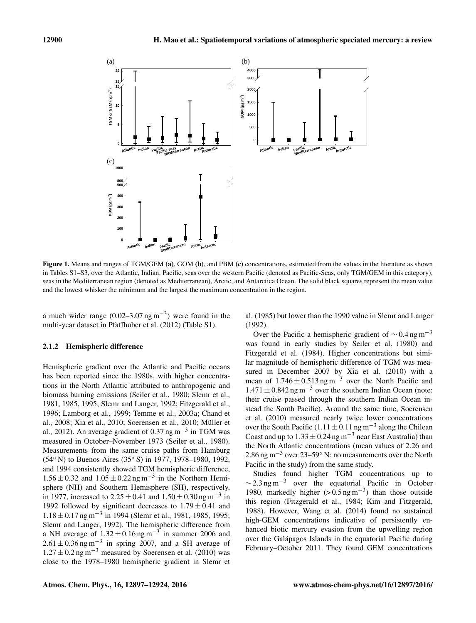

seas in the Mediterranean region (denoted as Mediterranean), Arctic, and Antarctica Ocean. The solid black squares represent the mean value  $\epsilon$  the minimum and the largest the maximum concentration in the region and the lowest whisker the minimum and the largest the maximum concentration in the region. Figure 1. Means and ranges of TGM/GEM (a), GOM (b), and PBM (c) concentrations, estimated from the values in the literature as shown in Tables S1–S3, over the Atlantic, Indian, Pacific, seas over the western Pacific (denoted as Pacific-Seas, only TGM/GEM in this category),

a much wider range  $(0.02-3.07 \text{ ng m}^{-3})$  were found in the al. (1985) but lower than the 1990 value a much which range  $(0.02-3.07 \text{ kg m})$  were round in the and  $(1983)$  out lower multi-year dataset in Pfaffhuber et al.  $(2012)$  (Table S1). (1992).

## 2.1.2 Hemispheric difference

Hemispheric gradient over the Atlantic and Pacific oceans has been reported since the 1980s, with higher concentrations in the North Atlantic attributed to anthropogenic and biomass burning emissions (Seiler et al., 1980; Slemr et al., 1981, 1985, 1995; Slemr and Langer, 1992; Fitzgerald et al., 1996; Lamborg et al., 1999; Temme et al., 2003a; Chand et al., 2008; Xia et al., 2010; Soerensen et al., 2010; Müller et al., 2012). An average gradient of 0.37 ng m<sup>-3</sup> in TGM was measured in October–November 1973 (Seiler et al., 1980). Measurements from the same cruise paths from Hamburg (54◦ N) to Buenos Aires (35◦ S) in 1977, 1978–1980, 1992, and 1994 consistently showed TGM hemispheric difference, 1.56 ± 0.32 and  $1.05 \pm 0.22$  ng m<sup>-3</sup> in the Northern Hemisphere (NH) and Southern Hemisphere (SH), respectively, in 1977, increased to  $2.25 \pm 0.41$  and  $1.50 \pm 0.30$  ng m<sup>-3</sup> in 1992 followed by significant decreases to  $1.79 \pm 0.41$  and 1.18 ± 0.17 ng m−<sup>3</sup> in 1994 (Slemr et al., 1981, 1985, 1995; Slemr and Langer, 1992). The hemispheric difference from a NH average of  $1.32 \pm 0.16$  ng m<sup>-3</sup> in summer 2006 and  $2.61 \pm 0.36$  ng m<sup>-3</sup> in spring 2007, and a SH average of  $1.27 \pm 0.2$  ng m<sup>-3</sup> measured by Soerensen et al. (2010) was close to the 1978–1980 hemispheric gradient in Slemr et al. (1985) but lower than the 1990 value in Slemr and Langer (1992).

Over the Pacific a hemispheric gradient of  $\sim 0.4$  ng m<sup>-3</sup> was found in early studies by Seiler et al. (1980) and Fitzgerald et al. (1984). Higher concentrations but similar magnitude of hemispheric difference of TGM was measured in December 2007 by Xia et al. (2010) with a mean of  $1.746 \pm 0.513$  ng m<sup>-3</sup> over the North Pacific and  $1.471 \pm 0.842$  ng m<sup>-3</sup> over the southern Indian Ocean (note: their cruise passed through the southern Indian Ocean instead the South Pacific). Around the same time, Soerensen et al. (2010) measured nearly twice lower concentrations over the South Pacific (1.11  $\pm$  0.11 ng m<sup>-3</sup> along the Chilean Coast and up to  $1.33 \pm 0.24$  ng m<sup>-3</sup> near East Australia) than the North Atlantic concentrations (mean values of 2.26 and 2.86 ng m−<sup>3</sup> over 23–59◦ N; no measurements over the North Pacific in the study) from the same study.

Studies found higher TGM concentrations up to  $\sim$  2.3 ng m<sup>-3</sup> over the equatorial Pacific in October 1980, markedly higher  $(> 0.5 \text{ ng m}^{-3})$  than those outside this region (Fitzgerald et al., 1984; Kim and Fitzgerald, 1988). However, Wang et al. (2014) found no sustained high-GEM concentrations indicative of persistently enhanced biotic mercury evasion from the upwelling region over the Galápagos Islands in the equatorial Pacific during February–October 2011. They found GEM concentrations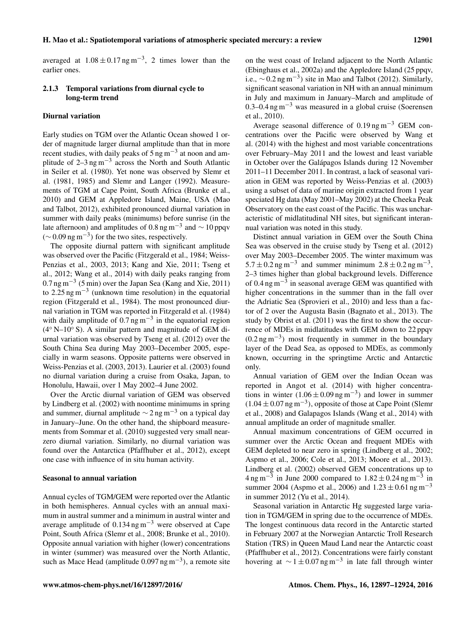averaged at  $1.08 \pm 0.17$  ng m<sup>-3</sup>, 2 times lower than the earlier ones.

# 2.1.3 Temporal variations from diurnal cycle to long-term trend

# Diurnal variation

Early studies on TGM over the Atlantic Ocean showed 1 order of magnitude larger diurnal amplitude than that in more recent studies, with daily peaks of  $5 \text{ ng m}^{-3}$  at noon and amplitude of  $2-3$  ng m<sup>-3</sup> across the North and South Atlantic in Seiler et al. (1980). Yet none was observed by Slemr et al. (1981, 1985) and Slemr and Langer (1992). Measurements of TGM at Cape Point, South Africa (Brunke et al., 2010) and GEM at Appledore Island, Maine, USA (Mao and Talbot, 2012), exhibited pronounced diurnal variation in summer with daily peaks (minimums) before sunrise (in the late afternoon) and amplitudes of 0.8 ng m<sup>-3</sup> and  $\sim$  10 ppqv  $(\sim 0.09 \,\text{ng m}^{-3})$  for the two sites, respectively.

The opposite diurnal pattern with significant amplitude was observed over the Pacific (Fitzgerald et al., 1984; Weiss-Penzias et al., 2003, 2013; Kang and Xie, 2011; Tseng et al., 2012; Wang et al., 2014) with daily peaks ranging from 0.7 ng m−<sup>3</sup> (5 min) over the Japan Sea (Kang and Xie, 2011) to 2.25 ng m<sup>-3</sup> (unknown time resolution) in the equatorial region (Fitzgerald et al., 1984). The most pronounced diurnal variation in TGM was reported in Fitzgerald et al. (1984) with daily amplitude of  $0.7$  ng m<sup>-3</sup> in the equatorial region (4◦ N–10◦ S). A similar pattern and magnitude of GEM diurnal variation was observed by Tseng et al. (2012) over the South China Sea during May 2003–December 2005, especially in warm seasons. Opposite patterns were observed in Weiss-Penzias et al. (2003, 2013). Laurier et al. (2003) found no diurnal variation during a cruise from Osaka, Japan, to Honolulu, Hawaii, over 1 May 2002–4 June 2002.

Over the Arctic diurnal variation of GEM was observed by Lindberg et al. (2002) with noontime minimums in spring and summer, diurnal amplitude  $\sim$  2 ng m<sup>-3</sup> on a typical day in January–June. On the other hand, the shipboard measurements from Sommar et al. (2010) suggested very small nearzero diurnal variation. Similarly, no diurnal variation was found over the Antarctica (Pfaffhuber et al., 2012), except one case with influence of in situ human activity.

## Seasonal to annual variation

Annual cycles of TGM/GEM were reported over the Atlantic in both hemispheres. Annual cycles with an annual maximum in austral summer and a minimum in austral winter and average amplitude of 0.134 ng m−<sup>3</sup> were observed at Cape Point, South Africa (Slemr et al., 2008; Brunke et al., 2010). Opposite annual variation with higher (lower) concentrations in winter (summer) was measured over the North Atlantic, such as Mace Head (amplitude  $0.097$  ng m<sup>-3</sup>), a remote site

on the west coast of Ireland adjacent to the North Atlantic (Ebinghaus et al., 2002a) and the Appledore Island (25 ppqv, i.e.,  $\sim$  0.2 ng m<sup>-3</sup>) site in Mao and Talbot (2012). Similarly, significant seasonal variation in NH with an annual minimum in July and maximum in January–March and amplitude of 0.3–0.4 ng m<sup>-3</sup> was measured in a global cruise (Soerensen et al., 2010).

Average seasonal difference of  $0.19$  ng m<sup>-3</sup> GEM concentrations over the Pacific were observed by Wang et al. (2014) with the highest and most variable concentrations over February–May 2011 and the lowest and least variable in October over the Galápagos Islands during 12 November 2011–11 December 2011. In contrast, a lack of seasonal variation in GEM was reported by Weiss-Penzias et al. (2003) using a subset of data of marine origin extracted from 1 year speciated Hg data (May 2001–May 2002) at the Cheeka Peak Observatory on the east coast of the Pacific. This was uncharacteristic of midlatitudinal NH sites, but significant interannual variation was noted in this study.

Distinct annual variation in GEM over the South China Sea was observed in the cruise study by Tseng et al. (2012) over May 2003–December 2005. The winter maximum was  $5.7 \pm 0.2$  ng m<sup>-3</sup> and summer minimum  $2.8 \pm 0.2$  ng m<sup>-3</sup>, 2–3 times higher than global background levels. Difference of 0.4 ng m<sup> $-\overline{3}$ </sup> in seasonal average GEM was quantified with higher concentrations in the summer than in the fall over the Adriatic Sea (Sprovieri et al., 2010) and less than a factor of 2 over the Augusta Basin (Bagnato et al., 2013). The study by Obrist et al. (2011) was the first to show the occurrence of MDEs in midlatitudes with GEM down to 22 ppqv (0.2 ng m−<sup>3</sup> ) most frequently in summer in the boundary layer of the Dead Sea, as opposed to MDEs, as commonly known, occurring in the springtime Arctic and Antarctic only.

Annual variation of GEM over the Indian Ocean was reported in Angot et al. (2014) with higher concentrations in winter  $(1.06 \pm 0.09 \text{ ng m}^{-3})$  and lower in summer  $(1.04 \pm 0.07$  ng m<sup>-3</sup>), opposite of those at Cape Point (Slemr et al., 2008) and Galapagos Islands (Wang et al., 2014) with annual amplitude an order of magnitude smaller.

Annual maximum concentrations of GEM occurred in summer over the Arctic Ocean and frequent MDEs with GEM depleted to near zero in spring (Lindberg et al., 2002; Aspmo et al., 2006; Cole et al., 2013; Moore et al., 2013). Lindberg et al. (2002) observed GEM concentrations up to  $4 \text{ ng m}^{-3}$  in June 2000 compared to  $1.82 \pm 0.24 \text{ ng m}^{-3}$  in summer 2004 (Aspmo et al., 2006) and  $1.23 \pm 0.61$  ng m<sup>-3</sup> in summer 2012 (Yu et al., 2014).

Seasonal variation in Antarctic Hg suggested large variation in TGM/GEM in spring due to the occurrence of MDEs. The longest continuous data record in the Antarctic started in February 2007 at the Norwegian Antarctic Troll Research Station (TRS) in Queen Maud Land near the Antarctic coast (Pfaffhuber et al., 2012). Concentrations were fairly constant hovering at  $\sim 1 \pm 0.07$  ng m<sup>-3</sup> in late fall through winter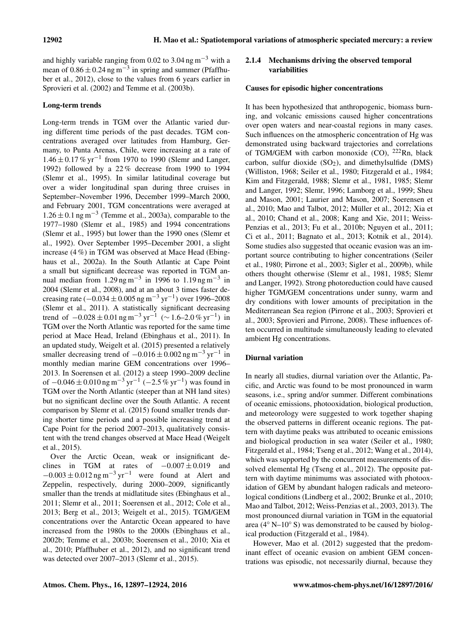and highly variable ranging from 0.02 to 3.04 ng m<sup>-3</sup> with a mean of  $0.86 \pm 0.24$  ng m<sup>-3</sup> in spring and summer (Pfaffhuber et al., 2012), close to the values from 6 years earlier in Sprovieri et al. (2002) and Temme et al. (2003b).

# Long-term trends

Long-term trends in TGM over the Atlantic varied during different time periods of the past decades. TGM concentrations averaged over latitudes from Hamburg, Germany, to Punta Arenas, Chile, were increasing at a rate of 1.46 ± 0.17 % yr−<sup>1</sup> from 1970 to 1990 (Slemr and Langer, 1992) followed by a 22 % decrease from 1990 to 1994 (Slemr et al., 1995). In similar latitudinal coverage but over a wider longitudinal span during three cruises in September–November 1996, December 1999–March 2000, and February 2001, TGM concentrations were averaged at  $1.26 \pm 0.1$  ng m<sup>-3</sup> (Temme et al., 2003a), comparable to the 1977–1980 (Slemr et al., 1985) and 1994 concentrations (Slemr et al., 1995) but lower than the 1990 ones (Slemr et al., 1992). Over September 1995–December 2001, a slight increase (4 %) in TGM was observed at Mace Head (Ebinghaus et al., 2002a). In the South Atlantic at Cape Point a small but significant decrease was reported in TGM annual median from 1.29 ng m<sup>-3</sup> in 1996 to 1.19 ng m<sup>-3</sup> in 2004 (Slemr et al., 2008), and at an about 3 times faster decreasing rate ( $-0.034 \pm 0.005$  ng m<sup>-3</sup> yr<sup>-1</sup>) over 1996–2008 (Slemr et al., 2011). A statistically significant decreasing trend of  $-0.028 \pm 0.01$  ng m<sup>-3</sup> yr<sup>-1</sup> ( $\sim 1.6$ -2.0 % yr<sup>-1</sup>) in TGM over the North Atlantic was reported for the same time period at Mace Head, Ireland (Ebinghaus et al., 2011). In an updated study, Weigelt et al. (2015) presented a relatively smaller decreasing trend of  $-0.016 \pm 0.002$  ng m<sup>-3</sup> yr<sup>-1</sup> in monthly median marine GEM concentrations over 1996– 2013. In Soerensen et al. (2012) a steep 1990–2009 decline of  $-0.046 \pm 0.010$  ng m<sup>-3</sup> yr<sup>-1</sup> ( $-2.5\%$  yr<sup>-1</sup>) was found in TGM over the North Atlantic (steeper than at NH land sites) but no significant decline over the South Atlantic. A recent comparison by Slemr et al. (2015) found smaller trends during shorter time periods and a possible increasing trend at Cape Point for the period 2007–2013, qualitatively consistent with the trend changes observed at Mace Head (Weigelt et al., 2015).

Over the Arctic Ocean, weak or insignificant declines in TGM at rates of  $-0.007 \pm 0.019$  and  $-0.003 \pm 0.012$  ng m<sup>-3</sup> yr<sup>-1</sup> were found at Alert and Zeppelin, respectively, during 2000–2009, significantly smaller than the trends at midlatitude sites (Ebinghaus et al., 2011; Slemr et al., 2011; Soerensen et al., 2012; Cole et al., 2013; Berg et al., 2013; Weigelt et al., 2015). TGM/GEM concentrations over the Antarctic Ocean appeared to have increased from the 1980s to the 2000s (Ebinghaus et al., 2002b; Temme et al., 2003b; Soerensen et al., 2010; Xia et al., 2010; Pfaffhuber et al., 2012), and no significant trend was detected over 2007–2013 (Slemr et al., 2015).

# 2.1.4 Mechanisms driving the observed temporal variabilities

# Causes for episodic higher concentrations

It has been hypothesized that anthropogenic, biomass burning, and volcanic emissions caused higher concentrations over open waters and near-coastal regions in many cases. Such influences on the atmospheric concentration of Hg was demonstrated using backward trajectories and correlations of TGM/GEM with carbon monoxide (CO),  $^{222}$ Rn, black carbon, sulfur dioxide  $(SO<sub>2</sub>)$ , and dimethylsulfide (DMS) (Williston, 1968; Seiler et al., 1980; Fitzgerald et al., 1984; Kim and Fitzgerald, 1988; Slemr et al., 1981, 1985; Slemr and Langer, 1992; Slemr, 1996; Lamborg et al., 1999; Sheu and Mason, 2001; Laurier and Mason, 2007; Soerensen et al., 2010; Mao and Talbot, 2012; Müller et al., 2012; Xia et al., 2010; Chand et al., 2008; Kang and Xie, 2011; Weiss-Penzias et al., 2013; Fu et al., 2010b; Nguyen et al., 2011; Ci et al., 2011; Bagnato et al., 2013; Kotnik et al., 2014). Some studies also suggested that oceanic evasion was an important source contributing to higher concentrations (Seiler et al., 1980; Pirrone et al., 2003; Sigler et al., 2009b), while others thought otherwise (Slemr et al., 1981, 1985; Slemr and Langer, 1992). Strong photoreduction could have caused higher TGM/GEM concentrations under sunny, warm and dry conditions with lower amounts of precipitation in the Mediterranean Sea region (Pirrone et al., 2003; Sprovieri et al., 2003; Sprovieri and Pirrone, 2008). These influences often occurred in multitude simultaneously leading to elevated ambient Hg concentrations.

# Diurnal variation

In nearly all studies, diurnal variation over the Atlantic, Pacific, and Arctic was found to be most pronounced in warm seasons, i.e., spring and/or summer. Different combinations of oceanic emissions, photooxidation, biological production, and meteorology were suggested to work together shaping the observed patterns in different oceanic regions. The pattern with daytime peaks was attributed to oceanic emissions and biological production in sea water (Seiler et al., 1980; Fitzgerald et al., 1984; Tseng et al., 2012; Wang et al., 2014), which was supported by the concurrent measurements of dissolved elemental Hg (Tseng et al., 2012). The opposite pattern with daytime minimums was associated with photooxidation of GEM by abundant halogen radicals and meteorological conditions (Lindberg et al., 2002; Brunke et al., 2010; Mao and Talbot, 2012; Weiss-Penzias et al., 2003, 2013). The most pronounced diurnal variation in TGM in the equatorial area (4◦ N–10◦ S) was demonstrated to be caused by biological production (Fitzgerald et al., 1984).

However, Mao et al. (2012) suggested that the predominant effect of oceanic evasion on ambient GEM concentrations was episodic, not necessarily diurnal, because they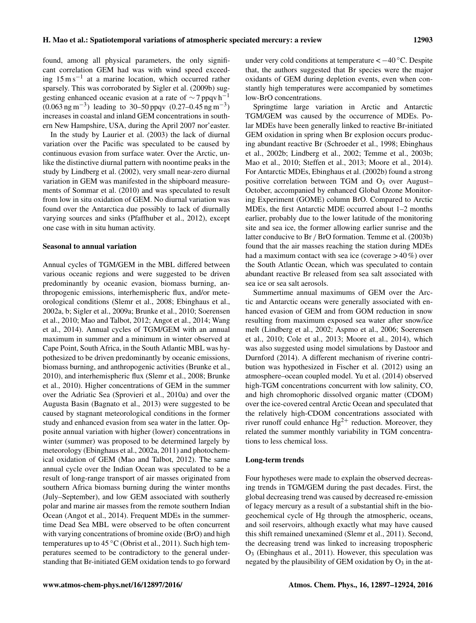found, among all physical parameters, the only significant correlation GEM had was with wind speed exceeding 15 m s−<sup>1</sup> at a marine location, which occurred rather sparsely. This was corroborated by Sigler et al. (2009b) suggesting enhanced oceanic evasion at a rate of  $\sim$  7 ppqv h<sup>-1</sup>  $(0.063 \text{ ng m}^{-3})$  leading to 30–50 ppqv  $(0.27-0.45 \text{ ng m}^{-3})$ increases in coastal and inland GEM concentrations in southern New Hampshire, USA, during the April 2007 nor'easter.

In the study by Laurier et al. (2003) the lack of diurnal variation over the Pacific was speculated to be caused by continuous evasion from surface water. Over the Arctic, unlike the distinctive diurnal pattern with noontime peaks in the study by Lindberg et al. (2002), very small near-zero diurnal variation in GEM was manifested in the shipboard measurements of Sommar et al. (2010) and was speculated to result from low in situ oxidation of GEM. No diurnal variation was found over the Antarctica due possibly to lack of diurnally varying sources and sinks (Pfaffhuber et al., 2012), except one case with in situ human activity.

## Seasonal to annual variation

Annual cycles of TGM/GEM in the MBL differed between various oceanic regions and were suggested to be driven predominantly by oceanic evasion, biomass burning, anthropogenic emissions, interhemispheric flux, and/or meteorological conditions (Slemr et al., 2008; Ebinghaus et al., 2002a, b; Sigler et al., 2009a; Brunke et al., 2010; Soerensen et al., 2010; Mao and Talbot, 2012; Angot et al., 2014; Wang et al., 2014). Annual cycles of TGM/GEM with an annual maximum in summer and a minimum in winter observed at Cape Point, South Africa, in the South Atlantic MBL was hypothesized to be driven predominantly by oceanic emissions, biomass burning, and anthropogenic activities (Brunke et al., 2010), and interhemispheric flux (Slemr et al., 2008; Brunke et al., 2010). Higher concentrations of GEM in the summer over the Adriatic Sea (Sprovieri et al., 2010a) and over the Augusta Basin (Bagnato et al., 2013) were suggested to be caused by stagnant meteorological conditions in the former study and enhanced evasion from sea water in the latter. Opposite annual variation with higher (lower) concentrations in winter (summer) was proposed to be determined largely by meteorology (Ebinghaus et al., 2002a, 2011) and photochemical oxidation of GEM (Mao and Talbot, 2012). The same annual cycle over the Indian Ocean was speculated to be a result of long-range transport of air masses originated from southern Africa biomass burning during the winter months (July–September), and low GEM associated with southerly polar and marine air masses from the remote southern Indian Ocean (Angot et al., 2014). Frequent MDEs in the summertime Dead Sea MBL were observed to be often concurrent with varying concentrations of bromine oxide (BrO) and high temperatures up to 45 ◦C (Obrist et al., 2011). Such high temperatures seemed to be contradictory to the general understanding that Br-initiated GEM oxidation tends to go forward under very cold conditions at temperature  $<-40^{\circ}C$ . Despite that, the authors suggested that Br species were the major oxidants of GEM during depletion events, even when constantly high temperatures were accompanied by sometimes low-BrO concentrations.

Springtime large variation in Arctic and Antarctic TGM/GEM was caused by the occurrence of MDEs. Polar MDEs have been generally linked to reactive Br-initiated GEM oxidation in spring when Br explosion occurs producing abundant reactive Br (Schroeder et al., 1998; Ebinghaus et al., 2002b; Lindberg et al., 2002; Temme et al., 2003b; Mao et al., 2010; Steffen et al., 2013; Moore et al., 2014). For Antarctic MDEs, Ebinghaus et al. (2002b) found a strong positive correlation between TGM and  $O<sub>3</sub>$  over August– October, accompanied by enhanced Global Ozone Monitoring Experiment (GOME) column BrO. Compared to Arctic MDEs, the first Antarctic MDE occurred about 1–2 months earlier, probably due to the lower latitude of the monitoring site and sea ice, the former allowing earlier sunrise and the latter conducive to Br / BrO formation. Temme et al. (2003b) found that the air masses reaching the station during MDEs had a maximum contact with sea ice (coverage  $>40\%$ ) over the South Atlantic Ocean, which was speculated to contain abundant reactive Br released from sea salt associated with sea ice or sea salt aerosols.

Summertime annual maximums of GEM over the Arctic and Antarctic oceans were generally associated with enhanced evasion of GEM and from GOM reduction in snow resulting from maximum exposed sea water after snow/ice melt (Lindberg et al., 2002; Aspmo et al., 2006; Soerensen et al., 2010; Cole et al., 2013; Moore et al., 2014), which was also suggested using model simulations by Dastoor and Durnford (2014). A different mechanism of riverine contribution was hypothesized in Fischer et al. (2012) using an atmosphere–ocean coupled model. Yu et al. (2014) observed high-TGM concentrations concurrent with low salinity, CO, and high chromophoric dissolved organic matter (CDOM) over the ice-covered central Arctic Ocean and speculated that the relatively high-CDOM concentrations associated with river runoff could enhance  $Hg^{2+}$  reduction. Moreover, they related the summer monthly variability in TGM concentrations to less chemical loss.

# Long-term trends

Four hypotheses were made to explain the observed decreasing trends in TGM/GEM during the past decades. First, the global decreasing trend was caused by decreased re-emission of legacy mercury as a result of a substantial shift in the biogeochemical cycle of Hg through the atmospheric, oceans, and soil reservoirs, although exactly what may have caused this shift remained unexamined (Slemr et al., 2011). Second, the decreasing trend was linked to increasing tropospheric O<sup>3</sup> (Ebinghaus et al., 2011). However, this speculation was negated by the plausibility of GEM oxidation by  $O_3$  in the at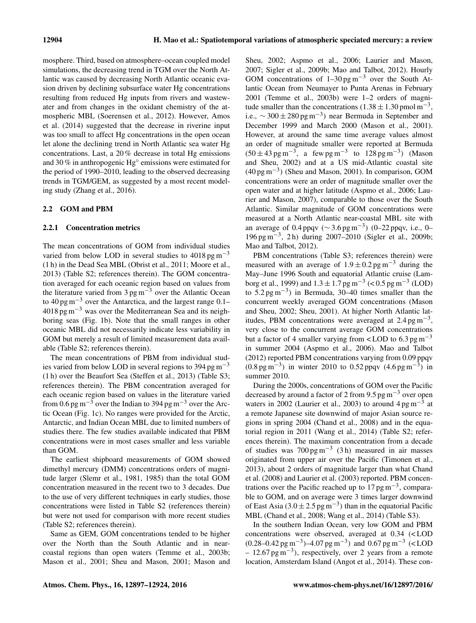mosphere. Third, based on atmosphere–ocean coupled model simulations, the decreasing trend in TGM over the North Atlantic was caused by decreasing North Atlantic oceanic evasion driven by declining subsurface water Hg concentrations resulting from reduced Hg inputs from rivers and wastewater and from changes in the oxidant chemistry of the atmospheric MBL (Soerensen et al., 2012). However, Amos et al. (2014) suggested that the decrease in riverine input was too small to affect Hg concentrations in the open ocean let alone the declining trend in North Atlantic sea water Hg concentrations. Last, a 20 % decrease in total Hg emissions and 30 % in anthropogenic Hg◦ emissions were estimated for the period of 1990–2010, leading to the observed decreasing trends in TGM/GEM, as suggested by a most recent modeling study (Zhang et al., 2016).

# 2.2 GOM and PBM

# 2.2.1 Concentration metrics

The mean concentrations of GOM from individual studies varied from below LOD in several studies to  $4018 \,\mathrm{pg\,m^{-3}}$ (1 h) in the Dead Sea MBL (Obrist et al., 2011; Moore et al., 2013) (Table S2; references therein). The GOM concentration averaged for each oceanic region based on values from the literature varied from  $3 \text{ pg m}^{-3}$  over the Atlantic Ocean to 40 pg m−<sup>3</sup> over the Antarctica, and the largest range 0.1– 4018 pg m−<sup>3</sup> was over the Mediterranean Sea and its neighboring seas (Fig. 1b). Note that the small ranges in other oceanic MBL did not necessarily indicate less variability in GOM but merely a result of limited measurement data available (Table S2; references therein).

The mean concentrations of PBM from individual studies varied from below LOD in several regions to 394 pg m<sup> $-3$ </sup> (1 h) over the Beaufort Sea (Steffen et al., 2013) (Table S3; references therein). The PBM concentration averaged for each oceanic region based on values in the literature varied from 0.6 pg m<sup>-3</sup> over the Indian to 394 pg m<sup>-3</sup> over the Arctic Ocean (Fig. 1c). No ranges were provided for the Arctic, Antarctic, and Indian Ocean MBL due to limited numbers of studies there. The few studies available indicated that PBM concentrations were in most cases smaller and less variable than GOM.

The earliest shipboard measurements of GOM showed dimethyl mercury (DMM) concentrations orders of magnitude larger (Slemr et al., 1981, 1985) than the total GOM concentration measured in the recent two to 3 decades. Due to the use of very different techniques in early studies, those concentrations were listed in Table S2 (references therein) but were not used for comparison with more recent studies (Table S2; references therein).

Same as GEM, GOM concentrations tended to be higher over the North than the South Atlantic and in nearcoastal regions than open waters (Temme et al., 2003b; Mason et al., 2001; Sheu and Mason, 2001; Mason and Sheu, 2002; Aspmo et al., 2006; Laurier and Mason, 2007; Sigler et al., 2009b; Mao and Talbot, 2012). Hourly GOM concentrations of  $1-30 \text{ pg m}^{-3}$  over the South Atlantic Ocean from Neumayer to Punta Arenas in February 2001 (Temme et al., 2003b) were 1–2 orders of magnitude smaller than the concentrations  $(1.38 \pm 1.30 \text{ pmol m}^{-3})$ , i.e.,  $\sim$  300 ± 280 pg m<sup>-3</sup>) near Bermuda in September and December 1999 and March 2000 (Mason et al., 2001). However, at around the same time average values almost an order of magnitude smaller were reported at Bermuda  $(50 \pm 43 \text{ pg m}^{-3})$ , a few pg m<sup>-3</sup> to 128 pg m<sup>-3</sup>) (Mason and Sheu, 2002) and at a US mid-Atlantic coastal site (40 pg m−<sup>3</sup> ) (Sheu and Mason, 2001). In comparison, GOM concentrations were an order of magnitude smaller over the open water and at higher latitude (Aspmo et al., 2006; Laurier and Mason, 2007), comparable to those over the South Atlantic. Similar magnitude of GOM concentrations were measured at a North Atlantic near-coastal MBL site with an average of 0.4 ppqv ( $\sim$  3.6 pg m<sup>-3</sup>) (0–22 ppqv, i.e., 0– 196 pg m−<sup>3</sup> , 2 h) during 2007–2010 (Sigler et al., 2009b; Mao and Talbot, 2012).

PBM concentrations (Table S3; references therein) were measured with an average of  $1.9 \pm 0.2$  pg m<sup>-3</sup> during the May–June 1996 South and equatorial Atlantic cruise (Lamborg et al., 1999) and  $1.3 \pm 1.7$  pg m<sup>-3</sup> (< 0.5 pg m<sup>-3</sup> (LOD) to  $5.2 \text{ pg m}^{-3}$ ) in Bermuda, 30–40 times smaller than the concurrent weekly averaged GOM concentrations (Mason and Sheu, 2002; Sheu, 2001). At higher North Atlantic latitudes, PBM concentrations were averaged at  $2.4 \text{ pg m}^{-3}$ , very close to the concurrent average GOM concentrations but a factor of 4 smaller varying from < LOD to  $6.3 \text{ pg m}^{-3}$ in summer 2004 (Aspmo et al., 2006). Mao and Talbot (2012) reported PBM concentrations varying from 0.09 ppqv  $(0.8 \text{ pg m}^{-3})$  in winter 2010 to 0.52 ppqv  $(4.6 \text{ pg m}^{-3})$  in summer 2010.

During the 2000s, concentrations of GOM over the Pacific decreased by around a factor of 2 from 9.5 pg  $\text{m}^{-3}$  over open waters in 2002 (Laurier et al., 2003) to around  $4 \text{ pg m}^{-3}$  at a remote Japanese site downwind of major Asian source regions in spring 2004 (Chand et al., 2008) and in the equatorial region in 2011 (Wang et al., 2014) (Table S2; references therein). The maximum concentration from a decade of studies was  $700 \text{ pg m}^{-3}$  (3h) measured in air masses originated from upper air over the Pacific (Timonen et al., 2013), about 2 orders of magnitude larger than what Chand et al. (2008) and Laurier et al. (2003) reported. PBM concentrations over the Pacific reached up to  $17 \text{ pg m}^{-3}$ , comparable to GOM, and on average were 3 times larger downwind of East Asia (3.0  $\pm$  2.5 pg m<sup>-3</sup>) than in the equatorial Pacific MBL (Chand et al., 2008; Wang et al., 2014) (Table S3).

In the southern Indian Ocean, very low GOM and PBM concentrations were observed, averaged at 0.34 (< LOD  $(0.28 - 0.42 \,\text{pg m}^{-3}) - 4.07 \,\text{pg m}^{-3}$  and  $0.67 \,\text{pg m}^{-3}$  (<LOD – 12.67 pg m−<sup>3</sup> ), respectively, over 2 years from a remote location, Amsterdam Island (Angot et al., 2014). These con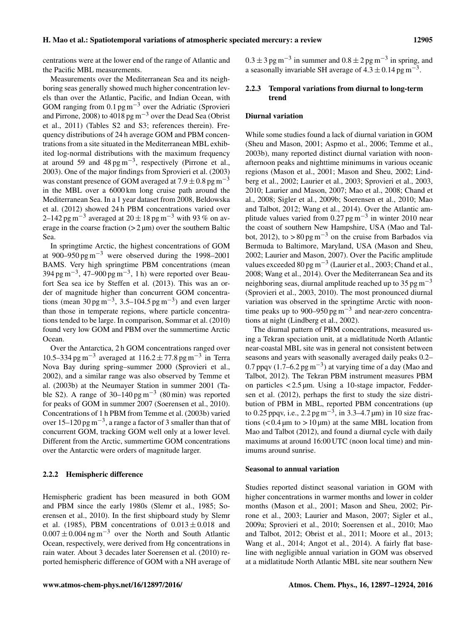centrations were at the lower end of the range of Atlantic and the Pacific MBL measurements.

Measurements over the Mediterranean Sea and its neighboring seas generally showed much higher concentration levels than over the Atlantic, Pacific, and Indian Ocean, with GOM ranging from 0.1 pg m<sup>-3</sup> over the Adriatic (Sprovieri and Pirrone, 2008) to 4018 pg m−<sup>3</sup> over the Dead Sea (Obrist et al., 2011) (Tables S2 and S3; references therein). Frequency distributions of 24 h average GOM and PBM concentrations from a site situated in the Mediterranean MBL exhibited log-normal distributions with the maximum frequency at around 59 and 48 pg m<sup>-3</sup>, respectively (Pirrone et al., 2003). One of the major findings from Sprovieri et al. (2003) was constant presence of GOM averaged at  $7.9 \pm 0.8$  pg m<sup>-3</sup> in the MBL over a 6000 km long cruise path around the Mediterranean Sea. In a 1 year dataset from 2008, Beldowska et al. (2012) showed 24 h PBM concentrations varied over 2–142 pg m<sup>-3</sup> averaged at  $20 \pm 18$  pg m<sup>-3</sup> with 93 % on average in the coarse fraction  $(2 \mu m)$  over the southern Baltic Sea.

In springtime Arctic, the highest concentrations of GOM at 900–950 pg m<sup>-3</sup> were observed during the 1998–2001 BAMS. Very high springtime PBM concentrations (mean  $394 \text{ pg m}^{-3}$ ,  $47-900 \text{ pg m}^{-3}$ , 1 h) were reported over Beaufort Sea sea ice by Steffen et al. (2013). This was an order of magnitude higher than concurrent GOM concentrations (mean  $30 \text{ pg m}^{-3}$ ,  $3.5-104.5 \text{ pg m}^{-3}$ ) and even larger than those in temperate regions, where particle concentrations tended to be large. In comparison, Sommar et al. (2010) found very low GOM and PBM over the summertime Arctic Ocean.

Over the Antarctica, 2 h GOM concentrations ranged over 10.5–334 pg m<sup>-3</sup> averaged at 116.2 ± 77.8 pg m<sup>-3</sup> in Terra Nova Bay during spring–summer 2000 (Sprovieri et al., 2002), and a similar range was also observed by Temme et al. (2003b) at the Neumayer Station in summer 2001 (Table S2). A range of  $30-140 \text{ pg m}^{-3}$  (80 min) was reported for peaks of GOM in summer 2007 (Soerensen et al., 2010). Concentrations of 1 h PBM from Temme et al. (2003b) varied over 15–120 pg m<sup>-3</sup>, a range a factor of 3 smaller than that of concurrent GOM, tracking GOM well only at a lower level. Different from the Arctic, summertime GOM concentrations over the Antarctic were orders of magnitude larger.

## 2.2.2 Hemispheric difference

Hemispheric gradient has been measured in both GOM and PBM since the early 1980s (Slemr et al., 1985; Soerensen et al., 2010). In the first shipboard study by Slemr et al. (1985), PBM concentrations of  $0.013 \pm 0.018$  and  $0.007 \pm 0.004$  ng m<sup>-3</sup> over the North and South Atlantic Ocean, respectively, were derived from Hg concentrations in rain water. About 3 decades later Soerensen et al. (2010) reported hemispheric difference of GOM with a NH average of  $0.3 \pm 3$  pg m<sup>-3</sup> in summer and  $0.8 \pm 2$  pg m<sup>-3</sup> in spring, and a seasonally invariable SH average of  $4.3 \pm 0.14$  pg m<sup>-3</sup>.

# 2.2.3 Temporal variations from diurnal to long-term trend

# Diurnal variation

While some studies found a lack of diurnal variation in GOM (Sheu and Mason, 2001; Aspmo et al., 2006; Temme et al., 2003b), many reported distinct diurnal variation with noonafternoon peaks and nighttime minimums in various oceanic regions (Mason et al., 2001; Mason and Sheu, 2002; Lindberg et al., 2002; Laurier et al., 2003; Sprovieri et al., 2003, 2010; Laurier and Mason, 2007; Mao et al., 2008; Chand et al., 2008; Sigler et al., 2009b; Soerensen et al., 2010; Mao and Talbot, 2012; Wang et al., 2014). Over the Atlantic amplitude values varied from  $0.27 \text{ pg m}^{-3}$  in winter 2010 near the coast of southern New Hampshire, USA (Mao and Talbot, 2012), to > 80 pg m<sup>-3</sup> on the cruise from Barbados via Bermuda to Baltimore, Maryland, USA (Mason and Sheu, 2002; Laurier and Mason, 2007). Over the Pacific amplitude values exceeded 80 pg m−<sup>3</sup> (Laurier et al., 2003; Chand et al., 2008; Wang et al., 2014). Over the Mediterranean Sea and its neighboring seas, diurnal amplitude reached up to 35 pg m<sup> $-3$ </sup> (Sprovieri et al., 2003, 2010). The most pronounced diurnal variation was observed in the springtime Arctic with noontime peaks up to 900–950 pg  $\text{m}^{-3}$  and near-zero concentrations at night (Lindberg et al., 2002).

The diurnal pattern of PBM concentrations, measured using a Tekran speciation unit, at a midlatitude North Atlantic near-coastal MBL site was in general not consistent between seasons and years with seasonally averaged daily peaks 0.2– 0.7 ppqv (1.7–6.2 pg m<sup>-3</sup>) at varying time of a day (Mao and Talbot, 2012). The Tekran PBM instrument measures PBM on particles < 2.5 µm. Using a 10-stage impactor, Feddersen et al. (2012), perhaps the first to study the size distribution of PBM in MBL, reported PBM concentrations (up to 0.25 ppqv, i.e., 2.2 pg m<sup>-3</sup>, in 3.3–4.7 µm) in 10 size fractions  $(< 0.4 \,\mathrm{\mu m}$  to  $> 10 \,\mathrm{\mu m}$ ) at the same MBL location from Mao and Talbot (2012), and found a diurnal cycle with daily maximums at around 16:00 UTC (noon local time) and minimums around sunrise.

#### Seasonal to annual variation

Studies reported distinct seasonal variation in GOM with higher concentrations in warmer months and lower in colder months (Mason et al., 2001; Mason and Sheu, 2002; Pirrone et al., 2003; Laurier and Mason, 2007; Sigler et al., 2009a; Sprovieri et al., 2010; Soerensen et al., 2010; Mao and Talbot, 2012; Obrist et al., 2011; Moore et al., 2013; Wang et al., 2014; Angot et al., 2014). A fairly flat baseline with negligible annual variation in GOM was observed at a midlatitude North Atlantic MBL site near southern New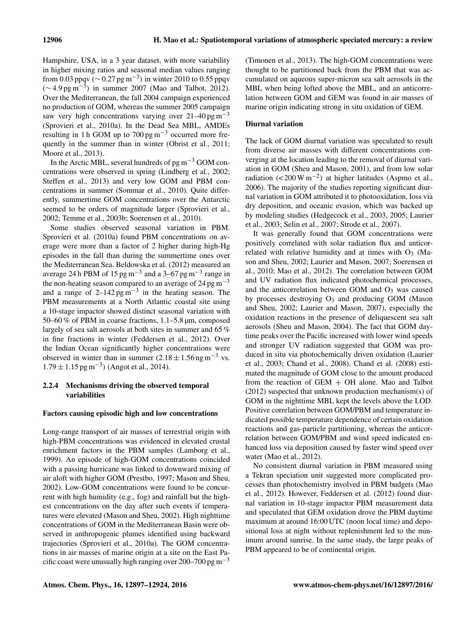Hampshire, USA, in a 3 year dataset, with more variability in higher mixing ratios and seasonal median values ranging from 0.03 ppqv ( $\sim$  0.27 pg m<sup>-3</sup>) in winter 2010 to 0.55 ppqv  $(\sim 4.9 \,\text{pg m}^{-3})$  in summer 2007 (Mao and Talbot, 2012). Over the Mediterranean, the fall 2004 campaign experienced no production of GOM, whereas the summer 2005 campaign saw very high concentrations varying over  $21-40 \text{ pg m}^{-3}$ (Sprovieri et al., 2010a). In the Dead Sea MBL, AMDEs resulting in 1 h GOM up to  $700 \text{ pg m}^{-3}$  occurred more frequently in the summer than in winter (Obrist et al., 2011; Moore et al., 2013).

In the Arctic MBL, several hundreds of  $pg m^{-3}$  GOM concentrations were observed in spring (Lindberg et al., 2002; Steffen et al., 2013) and very low GOM and PBM concentrations in summer (Sommar et al., 2010). Quite differently, summertime GOM concentrations over the Antarctic seemed to be orders of magnitude larger (Sprovieri et al., 2002; Temme et al., 2003b; Soerensen et al., 2010).

Some studies observed seasonal variation in PBM. Sprovieri et al. (2010a) found PBM concentrations on average were more than a factor of 2 higher during high-Hg episodes in the fall than during the summertime ones over the Mediterranean Sea. Beldowska et al. (2012) measured an average 24 h PBM of 15 pg m<sup>-3</sup> and a 3–67 pg m<sup>-3</sup> range in the non-heating season compared to an average of 24 pg  $m^{-3}$ and a range of  $2-142 \text{ pg m}^{-3}$  in the heating season. The PBM measurements at a North Atlantic coastal site using a 10-stage impactor showed distinct seasonal variation with 50–60 % of PBM in coarse fractions, 1.1–5.8 µm, composed largely of sea salt aerosols at both sites in summer and 65 % in fine fractions in winter (Feddersen et al., 2012). Over the Indian Ocean significantly higher concentrations were observed in winter than in summer  $(2.18 \pm 1.56$  ng m<sup>-3</sup> vs.  $1.79 \pm 1.15$  pg m<sup>-3</sup>) (Angot et al., 2014).

# 2.2.4 Mechanisms driving the observed temporal variabilities

## Factors causing episodic high and low concentrations

Long-range transport of air masses of terrestrial origin with high-PBM concentrations was evidenced in elevated crustal enrichment factors in the PBM samples (Lamborg et al., 1999). An episode of high-GOM concentrations coincided with a passing hurricane was linked to downward mixing of air aloft with higher GOM (Prestbo, 1997; Mason and Sheu, 2002). Low-GOM concentrations were found to be concurrent with high humidity (e.g., fog) and rainfall but the highest concentrations on the day after such events if temperatures were elevated (Mason and Sheu, 2002). High nighttime concentrations of GOM in the Mediterranean Basin were observed in anthropogenic plumes identified using backward trajectories (Sprovieri et al., 2010a). The GOM concentrations in air masses of marine origin at a site on the East Pacific coast were unusually high ranging over 200–700 pg m<sup>-3</sup>

(Timonen et al., 2013). The high-GOM concentrations were thought to be partitioned back from the PBM that was accumulated on aqueous super-micron sea salt aerosols in the MBL when being lofted above the MBL, and an anticorrelation between GOM and GEM was found in air masses of marine origin indicating strong in situ oxidation of GEM.

# Diurnal variation

The lack of GOM diurnal variation was speculated to result from diverse air masses with different concentrations converging at the location leading to the removal of diurnal variation in GOM (Sheu and Mason, 2001), and from low solar radiation (< 200 W m<sup>-2</sup>) at higher latitudes (Aspmo et al., 2006). The majority of the studies reporting significant diurnal variation in GOM attributed it to photooxidation, loss via dry deposition, and oceanic evasion, which was backed up by modeling studies (Hedgecock et al., 2003, 2005; Laurier et al., 2003; Selin et al., 2007; Strode et al., 2007).

It was generally found that GOM concentrations were positively correlated with solar radiation flux and anticorrelated with relative humidity and at times with  $O_3$  (Mason and Sheu, 2002; Laurier and Mason, 2007; Soerensen et al., 2010; Mao et al., 2012). The correlation between GOM and UV radiation flux indicated photochemical processes, and the anticorrelation between GOM and  $O<sub>3</sub>$  was caused by processes destroying  $O_3$  and producing GOM (Mason and Sheu, 2002; Laurier and Mason, 2007), especially the oxidation reactions in the presence of deliquescent sea salt aerosols (Sheu and Mason, 2004). The fact that GOM daytime peaks over the Pacific increased with lower wind speeds and stronger UV radiation suggested that GOM was produced in situ via photochemically driven oxidation (Laurier et al., 2003; Chand et al., 2008). Chand et al. (2008) estimated the magnitude of GOM close to the amount produced from the reaction of  $GEM + OH$  alone. Mao and Talbot (2012) suspected that unknown production mechanism(s) of GOM in the nighttime MBL kept the levels above the LOD. Positive correlation between GOM/PBM and temperature indicated possible temperature dependence of certain oxidation reactions and gas-particle partitioning, whereas the anticorrelation between GOM/PBM and wind speed indicated enhanced loss via deposition caused by faster wind speed over water (Mao et al., 2012).

No consistent diurnal variation in PBM measured using a Tekran speciation unit suggested more complicated processes than photochemistry involved in PBM budgets (Mao et al., 2012). However, Feddersen et al. (2012) found diurnal variation in 10-stage impactor PBM measurement data and speculated that GEM oxidation drove the PBM daytime maximum at around 16:00 UTC (noon local time) and depositional loss at night without replenishment led to the minimum around sunrise. In the same study, the large peaks of PBM appeared to be of continental origin.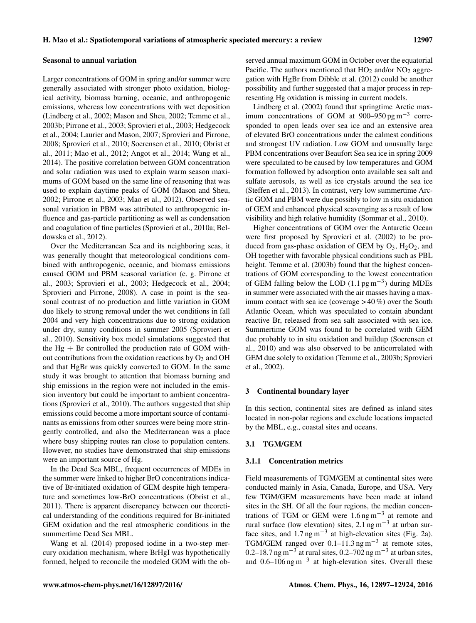Larger concentrations of GOM in spring and/or summer were generally associated with stronger photo oxidation, biological activity, biomass burning, oceanic, and anthropogenic emissions, whereas low concentrations with wet deposition (Lindberg et al., 2002; Mason and Sheu, 2002; Temme et al., 2003b; Pirrone et al., 2003; Sprovieri et al., 2003; Hedgecock et al., 2004; Laurier and Mason, 2007; Sprovieri and Pirrone, 2008; Sprovieri et al., 2010; Soerensen et al., 2010; Obrist et al., 2011; Mao et al., 2012; Angot et al., 2014; Wang et al., 2014). The positive correlation between GOM concentration and solar radiation was used to explain warm season maximums of GOM based on the same line of reasoning that was used to explain daytime peaks of GOM (Mason and Sheu, 2002; Pirrone et al., 2003; Mao et al., 2012). Observed seasonal variation in PBM was attributed to anthropogenic influence and gas-particle partitioning as well as condensation and coagulation of fine particles (Sprovieri et al., 2010a; Beldowska et al., 2012).

Over the Mediterranean Sea and its neighboring seas, it was generally thought that meteorological conditions combined with anthropogenic, oceanic, and biomass emissions caused GOM and PBM seasonal variation (e. g. Pirrone et al., 2003; Sprovieri et al., 2003; Hedgecock et al., 2004; Sprovieri and Pirrone, 2008). A case in point is the seasonal contrast of no production and little variation in GOM due likely to strong removal under the wet conditions in fall 2004 and very high concentrations due to strong oxidation under dry, sunny conditions in summer 2005 (Sprovieri et al., 2010). Sensitivity box model simulations suggested that the  $Hg + Br$  controlled the production rate of GOM without contributions from the oxidation reactions by  $O_3$  and OH and that HgBr was quickly converted to GOM. In the same study it was brought to attention that biomass burning and ship emissions in the region were not included in the emission inventory but could be important to ambient concentrations (Sprovieri et al., 2010). The authors suggested that ship emissions could become a more important source of contaminants as emissions from other sources were being more stringently controlled, and also the Mediterranean was a place where busy shipping routes ran close to population centers. However, no studies have demonstrated that ship emissions were an important source of Hg.

In the Dead Sea MBL, frequent occurrences of MDEs in the summer were linked to higher BrO concentrations indicative of Br-initiated oxidation of GEM despite high temperature and sometimes low-BrO concentrations (Obrist et al., 2011). There is apparent discrepancy between our theoretical understanding of the conditions required for Br-initiated GEM oxidation and the real atmospheric conditions in the summertime Dead Sea MBL.

Wang et al. (2014) proposed iodine in a two-step mercury oxidation mechanism, where BrHgI was hypothetically formed, helped to reconcile the modeled GOM with the observed annual maximum GOM in October over the equatorial Pacific. The authors mentioned that  $HO_2$  and/or  $NO_2$  aggregation with HgBr from Dibble et al. (2012) could be another possibility and further suggested that a major process in representing Hg oxidation is missing in current models.

Lindberg et al. (2002) found that springtime Arctic maximum concentrations of GOM at  $900-950 \text{ pg m}^{-3}$  corresponded to open leads over sea ice and an extensive area of elevated BrO concentrations under the calmest conditions and strongest UV radiation. Low GOM and unusually large PBM concentrations over Beaufort Sea sea ice in spring 2009 were speculated to be caused by low temperatures and GOM formation followed by adsorption onto available sea salt and sulfate aerosols, as well as ice crystals around the sea ice (Steffen et al., 2013). In contrast, very low summertime Arctic GOM and PBM were due possibly to low in situ oxidation of GEM and enhanced physical scavenging as a result of low visibility and high relative humidity (Sommar et al., 2010).

Higher concentrations of GOM over the Antarctic Ocean were first proposed by Sprovieri et al. (2002) to be produced from gas-phase oxidation of GEM by  $O_3$ ,  $H_2O_2$ , and OH together with favorable physical conditions such as PBL height. Temme et al. (2003b) found that the highest concentrations of GOM corresponding to the lowest concentration of GEM falling below the LOD  $(1.1 \text{ pg m}^{-3})$  during MDEs in summer were associated with the air masses having a maximum contact with sea ice (coverage  $> 40\%$ ) over the South Atlantic Ocean, which was speculated to contain abundant reactive Br, released from sea salt associated with sea ice. Summertime GOM was found to be correlated with GEM due probably to in situ oxidation and buildup (Soerensen et al., 2010) and was also observed to be anticorrelated with GEM due solely to oxidation (Temme et al., 2003b; Sprovieri et al., 2002).

## 3 Continental boundary layer

In this section, continental sites are defined as inland sites located in non-polar regions and exclude locations impacted by the MBL, e.g., coastal sites and oceans.

# 3.1 TGM/GEM

#### 3.1.1 Concentration metrics

Field measurements of TGM/GEM at continental sites were conducted mainly in Asia, Canada, Europe, and USA. Very few TGM/GEM measurements have been made at inland sites in the SH. Of all the four regions, the median concentrations of TGM or GEM were  $1.6 \text{ ng m}^{-3}$  at remote and rural surface (low elevation) sites,  $2.1$  ng m<sup>-3</sup> at urban surface sites, and  $1.7$  ng m<sup>-3</sup> at high-elevation sites (Fig. 2a). TGM/GEM ranged over 0.1–11.3 ng m−<sup>3</sup> at remote sites, 0.2–18.7 ng m<sup>-3</sup> at rural sites, 0.2–702 ng m<sup>-3</sup> at urban sites, and 0.6–106 ng m−<sup>3</sup> at high-elevation sites. Overall these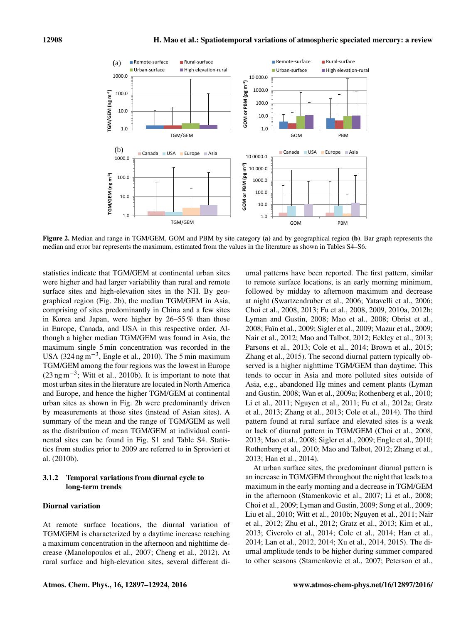

 $\frac{1}{2}$  for  $\frac{1}{2}$  means the maximum estimated from the values in the literature as shown in median and error bar represents the maximum, estimated from the values in the literature as shown in Tables S4–S6. Figure 2. Median and range in TGM/GEM, GOM and PBM by site category (a) and by geographical region (b). Bar graph represents the

statistics indicate that TGM/GEM at continental urban sites were higher and had larger variability than rural and remote surface sites and high-elevation sites in the NH. By geographical region (Fig. 2b), the median TGM/GEM in Asia, comprising of sites predominantly in China and a few sites in Korea and Japan, were higher by 26–55 % than those in Europe, Canada, and USA in this respective order. Although a higher median TGM/GEM was found in Asia, the maximum single 5 min concentration was recorded in the USA (324 ng m<sup>-3</sup>, Engle et al., 2010). The 5 min maximum TGM/GEM among the four regions was the lowest in Europe (23 ng m−<sup>3</sup> ; Witt et al., 2010b). It is important to note that most urban sites in the literature are located in North America and Europe, and hence the higher TGM/GEM at continental urban sites as shown in Fig. 2b were predominantly driven by measurements at those sites (instead of Asian sites). A summary of the mean and the range of TGM/GEM as well as the distribution of mean TGM/GEM at individual continental sites can be found in Fig. S1 and Table S4. Statistics from studies prior to 2009 are referred to in Sprovieri et al. (2010b).

# 3.1.2 Temporal variations from diurnal cycle to long-term trends

#### Diurnal variation

At remote surface locations, the diurnal variation of TGM/GEM is characterized by a daytime increase reaching a maximum concentration in the afternoon and nighttime decrease (Manolopoulos et al., 2007; Cheng et al., 2012). At rural surface and high-elevation sites, several different diurnal patterns have been reported. The first pattern, similar to remote surface locations, is an early morning minimum, followed by midday to afternoon maximum and decrease at night (Swartzendruber et al., 2006; Yatavelli et al., 2006; Choi et al., 2008, 2013; Fu et al., 2008, 2009, 2010a, 2012b; Lyman and Gustin, 2008; Mao et al., 2008; Obrist et al., 2008; Faïn et al., 2009; Sigler et al., 2009; Mazur et al., 2009; Nair et al., 2012; Mao and Talbot, 2012; Eckley et al., 2013; Parsons et al., 2013; Cole et al., 2014; Brown et al., 2015; Zhang et al., 2015). The second diurnal pattern typically observed is a higher nighttime TGM/GEM than daytime. This tends to occur in Asia and more polluted sites outside of Asia, e.g., abandoned Hg mines and cement plants (Lyman and Gustin, 2008; Wan et al., 2009a; Rothenberg et al., 2010; Li et al., 2011; Nguyen et al., 2011; Fu et al., 2012a; Gratz et al., 2013; Zhang et al., 2013; Cole et al., 2014). The third pattern found at rural surface and elevated sites is a weak or lack of diurnal pattern in TGM/GEM (Choi et al., 2008, 2013; Mao et al., 2008; Sigler et al., 2009; Engle et al., 2010; Rothenberg et al., 2010; Mao and Talbot, 2012; Zhang et al., 2013; Han et al., 2014).

At urban surface sites, the predominant diurnal pattern is an increase in TGM/GEM throughout the night that leads to a maximum in the early morning and a decrease in TGM/GEM in the afternoon (Stamenkovic et al., 2007; Li et al., 2008; Choi et al., 2009; Lyman and Gustin, 2009; Song et al., 2009; Liu et al., 2010; Witt et al., 2010b; Nguyen et al., 2011; Nair et al., 2012; Zhu et al., 2012; Gratz et al., 2013; Kim et al., 2013; Civerolo et al., 2014; Cole et al., 2014; Han et al., 2014; Lan et al., 2012, 2014; Xu et al., 2014, 2015). The diurnal amplitude tends to be higher during summer compared to other seasons (Stamenkovic et al., 2007; Peterson et al.,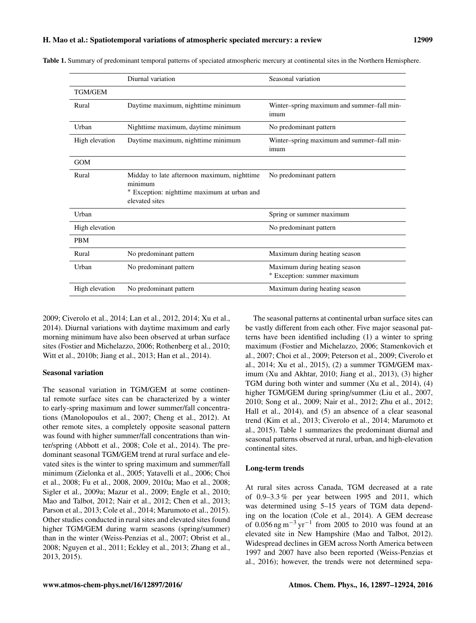|                | Diurnal variation                                                                                                       | Seasonal variation                                           |
|----------------|-------------------------------------------------------------------------------------------------------------------------|--------------------------------------------------------------|
| <b>TGM/GEM</b> |                                                                                                                         |                                                              |
| Rural          | Daytime maximum, nighttime minimum                                                                                      | Winter-spring maximum and summer-fall min-<br>imum           |
| Urban          | Nighttime maximum, daytime minimum                                                                                      | No predominant pattern                                       |
| High elevation | Daytime maximum, nighttime minimum                                                                                      | Winter-spring maximum and summer-fall min-<br>imum           |
| <b>GOM</b>     |                                                                                                                         |                                                              |
| Rural          | Midday to late afternoon maximum, nighttime<br>minimum<br>* Exception: nighttime maximum at urban and<br>elevated sites | No predominant pattern                                       |
| Urban          |                                                                                                                         | Spring or summer maximum                                     |
| High elevation |                                                                                                                         | No predominant pattern                                       |
| <b>PBM</b>     |                                                                                                                         |                                                              |
| Rural          | No predominant pattern                                                                                                  | Maximum during heating season                                |
| Urban          | No predominant pattern                                                                                                  | Maximum during heating season<br>* Exception: summer maximum |
| High elevation | No predominant pattern                                                                                                  | Maximum during heating season                                |

Table 1. Summary of predominant temporal patterns of speciated atmospheric mercury at continental sites in the Northern Hemisphere.

2009; Civerolo et al., 2014; Lan et al., 2012, 2014; Xu et al., 2014). Diurnal variations with daytime maximum and early morning minimum have also been observed at urban surface sites (Fostier and Michelazzo, 2006; Rothenberg et al., 2010; Witt et al., 2010b; Jiang et al., 2013; Han et al., 2014).

# Seasonal variation

The seasonal variation in TGM/GEM at some continental remote surface sites can be characterized by a winter to early-spring maximum and lower summer/fall concentrations (Manolopoulos et al., 2007; Cheng et al., 2012). At other remote sites, a completely opposite seasonal pattern was found with higher summer/fall concentrations than winter/spring (Abbott et al., 2008; Cole et al., 2014). The predominant seasonal TGM/GEM trend at rural surface and elevated sites is the winter to spring maximum and summer/fall minimum (Zielonka et al., 2005; Yatavelli et al., 2006; Choi et al., 2008; Fu et al., 2008, 2009, 2010a; Mao et al., 2008; Sigler et al., 2009a; Mazur et al., 2009; Engle et al., 2010; Mao and Talbot, 2012; Nair et al., 2012; Chen et al., 2013; Parson et al., 2013; Cole et al., 2014; Marumoto et al., 2015). Other studies conducted in rural sites and elevated sites found higher TGM/GEM during warm seasons (spring/summer) than in the winter (Weiss-Penzias et al., 2007; Obrist et al., 2008; Nguyen et al., 2011; Eckley et al., 2013; Zhang et al., 2013, 2015).

The seasonal patterns at continental urban surface sites can be vastly different from each other. Five major seasonal patterns have been identified including (1) a winter to spring maximum (Fostier and Michelazzo, 2006; Stamenkovich et al., 2007; Choi et al., 2009; Peterson et al., 2009; Civerolo et al., 2014; Xu et al., 2015), (2) a summer TGM/GEM maximum (Xu and Akhtar, 2010; Jiang et al., 2013), (3) higher TGM during both winter and summer (Xu et al., 2014), (4) higher TGM/GEM during spring/summer (Liu et al., 2007, 2010; Song et al., 2009; Nair et al., 2012; Zhu et al., 2012; Hall et al., 2014), and (5) an absence of a clear seasonal trend (Kim et al., 2013; Civerolo et al., 2014; Marumoto et al., 2015). Table 1 summarizes the predominant diurnal and seasonal patterns observed at rural, urban, and high-elevation continental sites.

# Long-term trends

At rural sites across Canada, TGM decreased at a rate of 0.9–3.3 % per year between 1995 and 2011, which was determined using 5–15 years of TGM data depending on the location (Cole et al., 2014). A GEM decrease of 0.056 ng m<sup>-3</sup> yr<sup>-1</sup> from 2005 to 2010 was found at an elevated site in New Hampshire (Mao and Talbot, 2012). Widespread declines in GEM across North America between 1997 and 2007 have also been reported (Weiss-Penzias et al., 2016); however, the trends were not determined sepa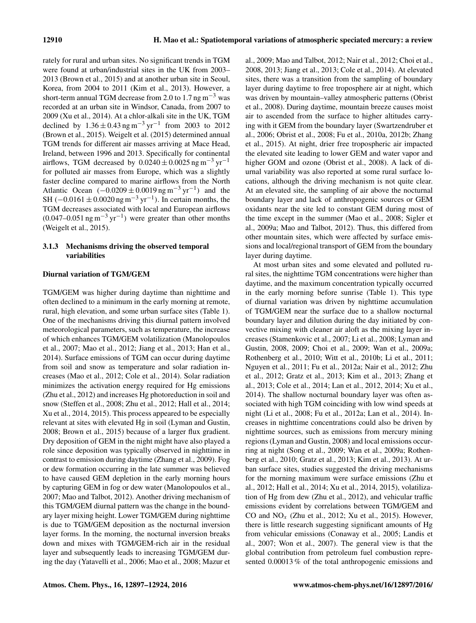rately for rural and urban sites. No significant trends in TGM were found at urban/industrial sites in the UK from 2003– 2013 (Brown et al., 2015) and at another urban site in Seoul, Korea, from 2004 to 2011 (Kim et al., 2013). However, a short-term annual TGM decrease from 2.0 to 1.7 ng m<sup>-3</sup> was recorded at an urban site in Windsor, Canada, from 2007 to 2009 (Xu et al., 2014). At a chlor-alkali site in the UK, TGM declined by  $1.36 \pm 0.43$  ng m<sup>-3</sup> yr<sup>-1</sup> from 2003 to 2012 (Brown et al., 2015). Weigelt et al. (2015) determined annual TGM trends for different air masses arriving at Mace Head, Ireland, between 1996 and 2013. Specifically for continental airflows, TGM decreased by  $0.0240 \pm 0.0025$  ng m<sup>-3</sup> yr<sup>-1</sup> for polluted air masses from Europe, which was a slightly faster decline compared to marine airflows from the North Atlantic Ocean  $(-0.0209 \pm 0.0019$  ng m<sup>-3</sup> yr<sup>-1</sup>) and the SH ( $-0.0161 \pm 0.0020$  ng m<sup>-3</sup> yr<sup>-1</sup>). In certain months, the TGM decreases associated with local and European airflows  $(0.047-0.051 \text{ ng m}^{-3} \text{ yr}^{-1})$  were greater than other months (Weigelt et al., 2015).

# 3.1.3 Mechanisms driving the observed temporal variabilities

# Diurnal variation of TGM/GEM

TGM/GEM was higher during daytime than nighttime and often declined to a minimum in the early morning at remote, rural, high elevation, and some urban surface sites (Table 1). One of the mechanisms driving this diurnal pattern involved meteorological parameters, such as temperature, the increase of which enhances TGM/GEM volatilization (Manolopoulos et al., 2007; Mao et al., 2012; Jiang et al., 2013; Han et al., 2014). Surface emissions of TGM can occur during daytime from soil and snow as temperature and solar radiation increases (Mao et al., 2012; Cole et al., 2014). Solar radiation minimizes the activation energy required for Hg emissions (Zhu et al., 2012) and increases Hg photoreduction in soil and snow (Steffen et al., 2008; Zhu et al., 2012; Hall et al., 2014; Xu et al., 2014, 2015). This process appeared to be especially relevant at sites with elevated Hg in soil (Lyman and Gustin, 2008; Brown et al., 2015) because of a larger flux gradient. Dry deposition of GEM in the night might have also played a role since deposition was typically observed in nighttime in contrast to emission during daytime (Zhang et al., 2009). Fog or dew formation occurring in the late summer was believed to have caused GEM depletion in the early morning hours by capturing GEM in fog or dew water (Manolopoulos et al., 2007; Mao and Talbot, 2012). Another driving mechanism of this TGM/GEM diurnal pattern was the change in the boundary layer mixing height. Lower TGM/GEM during nighttime is due to TGM/GEM deposition as the nocturnal inversion layer forms. In the morning, the nocturnal inversion breaks down and mixes with TGM/GEM-rich air in the residual layer and subsequently leads to increasing TGM/GEM during the day (Yatavelli et al., 2006; Mao et al., 2008; Mazur et al., 2009; Mao and Talbot, 2012; Nair et al., 2012; Choi et al., 2008, 2013; Jiang et al., 2013; Cole et al., 2014). At elevated sites, there was a transition from the sampling of boundary layer during daytime to free troposphere air at night, which was driven by mountain–valley atmospheric patterns (Obrist et al., 2008). During daytime, mountain breeze causes moist air to ascended from the surface to higher altitudes carrying with it GEM from the boundary layer (Swartzendruber et al., 2006; Obrist et al., 2008; Fu et al., 2010a, 2012b; Zhang et al., 2015). At night, drier free tropospheric air impacted the elevated site leading to lower GEM and water vapor and higher GOM and ozone (Obrist et al., 2008). A lack of diurnal variability was also reported at some rural surface locations, although the driving mechanism is not quite clear. At an elevated site, the sampling of air above the nocturnal boundary layer and lack of anthropogenic sources or GEM oxidants near the site led to constant GEM during most of the time except in the summer (Mao et al., 2008; Sigler et al., 2009a; Mao and Talbot, 2012). Thus, this differed from other mountain sites, which were affected by surface emissions and local/regional transport of GEM from the boundary layer during daytime.

At most urban sites and some elevated and polluted rural sites, the nighttime TGM concentrations were higher than daytime, and the maximum concentration typically occurred in the early morning before sunrise (Table 1). This type of diurnal variation was driven by nighttime accumulation of TGM/GEM near the surface due to a shallow nocturnal boundary layer and dilution during the day initiated by convective mixing with cleaner air aloft as the mixing layer increases (Stamenkovic et al., 2007; Li et al., 2008; Lyman and Gustin, 2008, 2009; Choi et al., 2009; Wan et al., 2009a; Rothenberg et al., 2010; Witt et al., 2010b; Li et al., 2011; Nguyen et al., 2011; Fu et al., 2012a; Nair et al., 2012; Zhu et al., 2012; Gratz et al., 2013; Kim et al., 2013; Zhang et al., 2013; Cole et al., 2014; Lan et al., 2012, 2014; Xu et al., 2014). The shallow nocturnal boundary layer was often associated with high TGM coinciding with low wind speeds at night (Li et al., 2008; Fu et al., 2012a; Lan et al., 2014). Increases in nighttime concentrations could also be driven by nighttime sources, such as emissions from mercury mining regions (Lyman and Gustin, 2008) and local emissions occurring at night (Song et al., 2009; Wan et al., 2009a; Rothenberg et al., 2010; Gratz et al., 2013; Kim et al., 2013). At urban surface sites, studies suggested the driving mechanisms for the morning maximum were surface emissions (Zhu et al., 2012; Hall et al., 2014; Xu et al., 2014, 2015), volatilization of Hg from dew (Zhu et al., 2012), and vehicular traffic emissions evident by correlations between TGM/GEM and CO and  $NO<sub>x</sub>$  (Zhu et al., 2012; Xu et al., 2015). However, there is little research suggesting significant amounts of Hg from vehicular emissions (Conaway et al., 2005; Landis et al., 2007; Won et al., 2007). The general view is that the global contribution from petroleum fuel combustion represented 0.00013 % of the total anthropogenic emissions and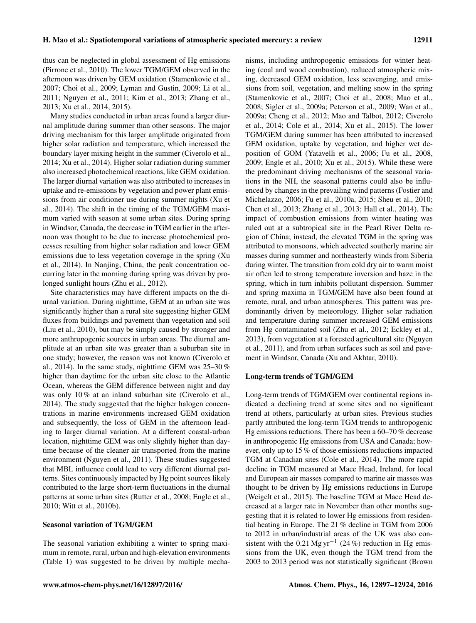thus can be neglected in global assessment of Hg emissions (Pirrone et al., 2010). The lower TGM/GEM observed in the afternoon was driven by GEM oxidation (Stamenkovic et al., 2007; Choi et al., 2009; Lyman and Gustin, 2009; Li et al., 2011; Nguyen et al., 2011; Kim et al., 2013; Zhang et al., 2013; Xu et al., 2014, 2015).

Many studies conducted in urban areas found a larger diurnal amplitude during summer than other seasons. The major driving mechanism for this larger amplitude originated from higher solar radiation and temperature, which increased the boundary layer mixing height in the summer (Civerolo et al., 2014; Xu et al., 2014). Higher solar radiation during summer also increased photochemical reactions, like GEM oxidation. The larger diurnal variation was also attributed to increases in uptake and re-emissions by vegetation and power plant emissions from air conditioner use during summer nights (Xu et al., 2014). The shift in the timing of the TGM/GEM maximum varied with season at some urban sites. During spring in Windsor, Canada, the decrease in TGM earlier in the afternoon was thought to be due to increase photochemical processes resulting from higher solar radiation and lower GEM emissions due to less vegetation coverage in the spring (Xu et al., 2014). In Nanjing, China, the peak concentration occurring later in the morning during spring was driven by prolonged sunlight hours (Zhu et al., 2012).

Site characteristics may have different impacts on the diurnal variation. During nighttime, GEM at an urban site was significantly higher than a rural site suggesting higher GEM fluxes from buildings and pavement than vegetation and soil (Liu et al., 2010), but may be simply caused by stronger and more anthropogenic sources in urban areas. The diurnal amplitude at an urban site was greater than a suburban site in one study; however, the reason was not known (Civerolo et al., 2014). In the same study, nighttime GEM was  $25-30\%$ higher than daytime for the urban site close to the Atlantic Ocean, whereas the GEM difference between night and day was only 10 % at an inland suburban site (Civerolo et al., 2014). The study suggested that the higher halogen concentrations in marine environments increased GEM oxidation and subsequently, the loss of GEM in the afternoon leading to larger diurnal variation. At a different coastal-urban location, nighttime GEM was only slightly higher than daytime because of the cleaner air transported from the marine environment (Nguyen et al., 2011). These studies suggested that MBL influence could lead to very different diurnal patterns. Sites continuously impacted by Hg point sources likely contributed to the large short-term fluctuations in the diurnal patterns at some urban sites (Rutter et al., 2008; Engle et al., 2010; Witt et al., 2010b).

# Seasonal variation of TGM/GEM

The seasonal variation exhibiting a winter to spring maximum in remote, rural, urban and high-elevation environments (Table 1) was suggested to be driven by multiple mechanisms, including anthropogenic emissions for winter heating (coal and wood combustion), reduced atmospheric mixing, decreased GEM oxidation, less scavenging, and emissions from soil, vegetation, and melting snow in the spring (Stamenkovic et al., 2007; Choi et al., 2008; Mao et al., 2008; Sigler et al., 2009a; Peterson et al., 2009; Wan et al., 2009a; Cheng et al., 2012; Mao and Talbot, 2012; Civerolo et al., 2014; Cole et al., 2014; Xu et al., 2015). The lower TGM/GEM during summer has been attributed to increased GEM oxidation, uptake by vegetation, and higher wet deposition of GOM (Yatavelli et al., 2006; Fu et al., 2008, 2009; Engle et al., 2010; Xu et al., 2015). While these were the predominant driving mechanisms of the seasonal variations in the NH, the seasonal patterns could also be influenced by changes in the prevailing wind patterns (Fostier and Michelazzo, 2006; Fu et al., 2010a, 2015; Sheu et al., 2010; Chen et al., 2013; Zhang et al., 2013; Hall et al., 2014). The impact of combustion emissions from winter heating was ruled out at a subtropical site in the Pearl River Delta region of China; instead, the elevated TGM in the spring was attributed to monsoons, which advected southerly marine air masses during summer and northeasterly winds from Siberia during winter. The transition from cold dry air to warm moist air often led to strong temperature inversion and haze in the spring, which in turn inhibits pollutant dispersion. Summer and spring maxima in TGM/GEM have also been found at remote, rural, and urban atmospheres. This pattern was predominantly driven by meteorology. Higher solar radiation and temperature during summer increased GEM emissions from Hg contaminated soil (Zhu et al., 2012; Eckley et al., 2013), from vegetation at a forested agricultural site (Nguyen et al., 2011), and from urban surfaces such as soil and pavement in Windsor, Canada (Xu and Akhtar, 2010).

# Long-term trends of TGM/GEM

Long-term trends of TGM/GEM over continental regions indicated a declining trend at some sites and no significant trend at others, particularly at urban sites. Previous studies partly attributed the long-term TGM trends to anthropogenic Hg emissions reductions. There has been a 60–70 % decrease in anthropogenic Hg emissions from USA and Canada; however, only up to 15 % of those emissions reductions impacted TGM at Canadian sites (Cole et al., 2014). The more rapid decline in TGM measured at Mace Head, Ireland, for local and European air masses compared to marine air masses was thought to be driven by Hg emissions reductions in Europe (Weigelt et al., 2015). The baseline TGM at Mace Head decreased at a larger rate in November than other months suggesting that it is related to lower Hg emissions from residential heating in Europe. The 21 % decline in TGM from 2006 to 2012 in urban/industrial areas of the UK was also consistent with the 0.21 Mg yr<sup>-1</sup> (24 %) reduction in Hg emissions from the UK, even though the TGM trend from the 2003 to 2013 period was not statistically significant (Brown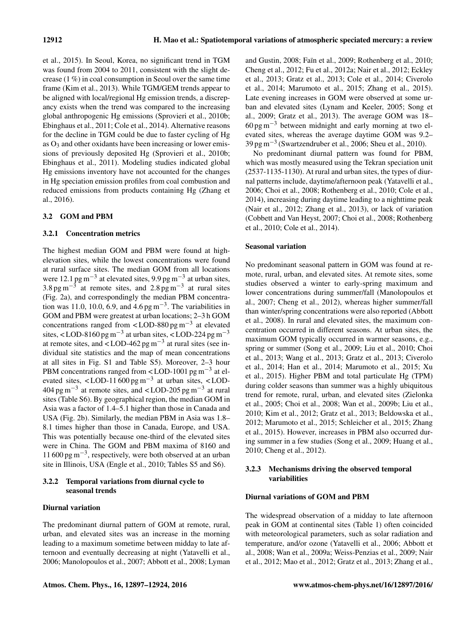et al., 2015). In Seoul, Korea, no significant trend in TGM was found from 2004 to 2011, consistent with the slight decrease (1 %) in coal consumption in Seoul over the same time frame (Kim et al., 2013). While TGM/GEM trends appear to be aligned with local/regional Hg emission trends, a discrepancy exists when the trend was compared to the increasing global anthropogenic Hg emissions (Sprovieri et al., 2010b; Ebinghaus et al., 2011; Cole et al., 2014). Alternative reasons for the decline in TGM could be due to faster cycling of Hg as  $O_3$  and other oxidants have been increasing or lower emissions of previously deposited Hg (Sprovieri et al., 2010b; Ebinghaus et al., 2011). Modeling studies indicated global Hg emissions inventory have not accounted for the changes in Hg speciation emission profiles from coal combustion and reduced emissions from products containing Hg (Zhang et al., 2016).

# 3.2 GOM and PBM

# 3.2.1 Concentration metrics

The highest median GOM and PBM were found at highelevation sites, while the lowest concentrations were found at rural surface sites. The median GOM from all locations were 12.1 pg m<sup>-3</sup> at elevated sites, 9.9 pg m<sup>-3</sup> at urban sites, 3.8 pg m<sup>-3</sup> at remote sites, and 2.8 pg m<sup>-3</sup> at rural sites (Fig. 2a), and correspondingly the median PBM concentration was 11.0, 10.0, 6.9, and  $4.6 \text{ pg m}^{-3}$ . The variabilities in GOM and PBM were greatest at urban locations; 2–3 h GOM concentrations ranged from <LOD-880 pg m<sup>-3</sup> at elevated sites, <LOD-8160 pg m<sup>-3</sup> at urban sites, <LOD-224 pg m<sup>-3</sup> at remote sites, and <LOD-462 pg m<sup>-3</sup> at rural sites (see individual site statistics and the map of mean concentrations at all sites in Fig. S1 and Table S5). Moreover, 2–3 hour PBM concentrations ranged from <LOD-1001 pg  $m^{-3}$  at elevated sites, <LOD-11 $600 \text{ pg m}^{-3}$  at urban sites, <LOD- $404 \text{ pg m}^{-3}$  at remote sites, and <LOD-205 pg m<sup>-3</sup> at rural sites (Table S6). By geographical region, the median GOM in Asia was a factor of 1.4–5.1 higher than those in Canada and USA (Fig. 2b). Similarly, the median PBM in Asia was 1.8– 8.1 times higher than those in Canada, Europe, and USA. This was potentially because one-third of the elevated sites were in China. The GOM and PBM maxima of 8160 and 11 600 pg m−<sup>3</sup> , respectively, were both observed at an urban site in Illinois, USA (Engle et al., 2010; Tables S5 and S6).

# 3.2.2 Temporal variations from diurnal cycle to seasonal trends

# Diurnal variation

The predominant diurnal pattern of GOM at remote, rural, urban, and elevated sites was an increase in the morning leading to a maximum sometime between midday to late afternoon and eventually decreasing at night (Yatavelli et al., 2006; Manolopoulos et al., 2007; Abbott et al., 2008; Lyman and Gustin, 2008; Faïn et al., 2009; Rothenberg et al., 2010; Cheng et al., 2012; Fu et al., 2012a; Nair et al., 2012; Eckley et al., 2013; Gratz et al., 2013; Cole et al., 2014; Civerolo et al., 2014; Marumoto et al., 2015; Zhang et al., 2015). Late evening increases in GOM were observed at some urban and elevated sites (Lynam and Keeler, 2005; Song et al., 2009; Gratz et al., 2013). The average GOM was 18–  $60 \text{ pg m}^{-3}$  between midnight and early morning at two elevated sites, whereas the average daytime GOM was 9.2– 39 pg m−<sup>3</sup> (Swartzendruber et al., 2006; Sheu et al., 2010).

No predominant diurnal pattern was found for PBM, which was mostly measured using the Tekran speciation unit (2537-1135-1130). At rural and urban sites, the types of diurnal patterns include, daytime/afternoon peak (Yatavelli et al., 2006; Choi et al., 2008; Rothenberg et al., 2010; Cole et al., 2014), increasing during daytime leading to a nighttime peak (Nair et al., 2012; Zhang et al., 2013), or lack of variation (Cobbett and Van Heyst, 2007; Choi et al., 2008; Rothenberg et al., 2010; Cole et al., 2014).

# Seasonal variation

No predominant seasonal pattern in GOM was found at remote, rural, urban, and elevated sites. At remote sites, some studies observed a winter to early-spring maximum and lower concentrations during summer/fall (Manolopoulos et al., 2007; Cheng et al., 2012), whereas higher summer/fall than winter/spring concentrations were also reported (Abbott et al., 2008). In rural and elevated sites, the maximum concentration occurred in different seasons. At urban sites, the maximum GOM typically occurred in warmer seasons, e.g., spring or summer (Song et al., 2009; Liu et al., 2010; Choi et al., 2013; Wang et al., 2013; Gratz et al., 2013; Civerolo et al., 2014; Han et al., 2014; Marumoto et al., 2015; Xu et al., 2015). Higher PBM and total particulate Hg (TPM) during colder seasons than summer was a highly ubiquitous trend for remote, rural, urban, and elevated sites (Zielonka et al., 2005; Choi et al., 2008; Wan et al., 2009b; Liu et al., 2010; Kim et al., 2012; Gratz et al., 2013; Beldowska et al., 2012; Marumoto et al., 2015; Schleicher et al., 2015; Zhang et al., 2015). However, increases in PBM also occurred during summer in a few studies (Song et al., 2009; Huang et al., 2010; Cheng et al., 2012).

# 3.2.3 Mechanisms driving the observed temporal variabilities

# Diurnal variations of GOM and PBM

The widespread observation of a midday to late afternoon peak in GOM at continental sites (Table 1) often coincided with meteorological parameters, such as solar radiation and temperature, and/or ozone (Yatavelli et al., 2006; Abbott et al., 2008; Wan et al., 2009a; Weiss-Penzias et al., 2009; Nair et al., 2012; Mao et al., 2012; Gratz et al., 2013; Zhang et al.,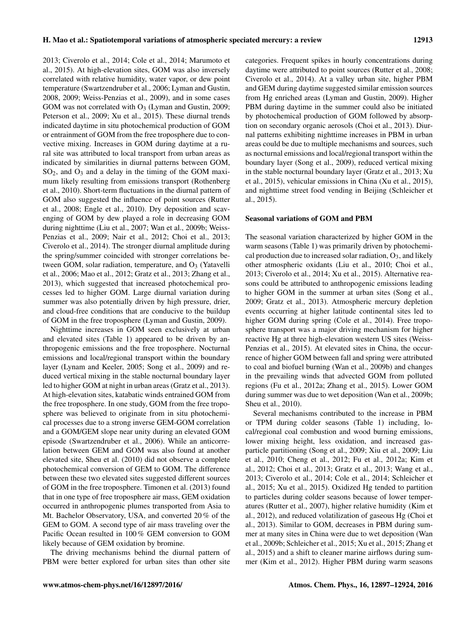2013; Civerolo et al., 2014; Cole et al., 2014; Marumoto et al., 2015). At high-elevation sites, GOM was also inversely correlated with relative humidity, water vapor, or dew point temperature (Swartzendruber et al., 2006; Lyman and Gustin, 2008, 2009; Weiss-Penzias et al., 2009), and in some cases GOM was not correlated with  $O_3$  (Lyman and Gustin, 2009; Peterson et al., 2009; Xu et al., 2015). These diurnal trends indicated daytime in situ photochemical production of GOM or entrainment of GOM from the free troposphere due to convective mixing. Increases in GOM during daytime at a rural site was attributed to local transport from urban areas as indicated by similarities in diurnal patterns between GOM,  $SO<sub>2</sub>$ , and  $O<sub>3</sub>$  and a delay in the timing of the GOM maximum likely resulting from emissions transport (Rothenberg et al., 2010). Short-term fluctuations in the diurnal pattern of GOM also suggested the influence of point sources (Rutter et al., 2008; Engle et al., 2010). Dry deposition and scavenging of GOM by dew played a role in decreasing GOM during nighttime (Liu et al., 2007; Wan et al., 2009b; Weiss-Penzias et al., 2009; Nair et al., 2012; Choi et al., 2013; Civerolo et al., 2014). The stronger diurnal amplitude during the spring/summer coincided with stronger correlations between GOM, solar radiation, temperature, and  $O<sub>3</sub>$  (Yatavelli et al., 2006; Mao et al., 2012; Gratz et al., 2013; Zhang et al., 2013), which suggested that increased photochemical processes led to higher GOM. Large diurnal variation during summer was also potentially driven by high pressure, drier, and cloud-free conditions that are conducive to the buildup of GOM in the free troposphere (Lyman and Gustin, 2009).

Nighttime increases in GOM seen exclusively at urban and elevated sites (Table 1) appeared to be driven by anthropogenic emissions and the free troposphere. Nocturnal emissions and local/regional transport within the boundary layer (Lynam and Keeler, 2005; Song et al., 2009) and reduced vertical mixing in the stable nocturnal boundary layer led to higher GOM at night in urban areas (Gratz et al., 2013). At high-elevation sites, katabatic winds entrained GOM from the free troposphere. In one study, GOM from the free troposphere was believed to originate from in situ photochemical processes due to a strong inverse GEM-GOM correlation and a GOM/GEM slope near unity during an elevated GOM episode (Swartzendruber et al., 2006). While an anticorrelation between GEM and GOM was also found at another elevated site, Sheu et al. (2010) did not observe a complete photochemical conversion of GEM to GOM. The difference between these two elevated sites suggested different sources of GOM in the free troposphere. Timonen et al. (2013) found that in one type of free troposphere air mass, GEM oxidation occurred in anthropogenic plumes transported from Asia to Mt. Bachelor Observatory, USA, and converted 20 % of the GEM to GOM. A second type of air mass traveling over the Pacific Ocean resulted in 100 % GEM conversion to GOM likely because of GEM oxidation by bromine.

The driving mechanisms behind the diurnal pattern of PBM were better explored for urban sites than other site categories. Frequent spikes in hourly concentrations during daytime were attributed to point sources (Rutter et al., 2008; Civerolo et al., 2014). At a valley urban site, higher PBM and GEM during daytime suggested similar emission sources from Hg enriched areas (Lyman and Gustin, 2009). Higher PBM during daytime in the summer could also be initiated by photochemical production of GOM followed by absorption on secondary organic aerosols (Choi et al., 2013). Diurnal patterns exhibiting nighttime increases in PBM in urban areas could be due to multiple mechanisms and sources, such as nocturnal emissions and local/regional transport within the boundary layer (Song et al., 2009), reduced vertical mixing in the stable nocturnal boundary layer (Gratz et al., 2013; Xu et al., 2015), vehicular emissions in China (Xu et al., 2015), and nighttime street food vending in Beijing (Schleicher et al., 2015).

# Seasonal variations of GOM and PBM

The seasonal variation characterized by higher GOM in the warm seasons (Table 1) was primarily driven by photochemical production due to increased solar radiation,  $O_3$ , and likely other atmospheric oxidants (Liu et al., 2010; Choi et al., 2013; Civerolo et al., 2014; Xu et al., 2015). Alternative reasons could be attributed to anthropogenic emissions leading to higher GOM in the summer at urban sites (Song et al., 2009; Gratz et al., 2013). Atmospheric mercury depletion events occurring at higher latitude continental sites led to higher GOM during spring (Cole et al., 2014). Free troposphere transport was a major driving mechanism for higher reactive Hg at three high-elevation western US sites (Weiss-Penzias et al., 2015). At elevated sites in China, the occurrence of higher GOM between fall and spring were attributed to coal and biofuel burning (Wan et al., 2009b) and changes in the prevailing winds that advected GOM from polluted regions (Fu et al., 2012a; Zhang et al., 2015). Lower GOM during summer was due to wet deposition (Wan et al., 2009b; Sheu et al., 2010).

Several mechanisms contributed to the increase in PBM or TPM during colder seasons (Table 1) including, local/regional coal combustion and wood burning emissions, lower mixing height, less oxidation, and increased gasparticle partitioning (Song et al., 2009; Xiu et al., 2009; Liu et al., 2010; Cheng et al., 2012; Fu et al., 2012a; Kim et al., 2012; Choi et al., 2013; Gratz et al., 2013; Wang et al., 2013; Civerolo et al., 2014; Cole et al., 2014; Schleicher et al., 2015; Xu et al., 2015). Oxidized Hg tended to partition to particles during colder seasons because of lower temperatures (Rutter et al., 2007), higher relative humidity (Kim et al., 2012), and reduced volatilization of gaseous Hg (Choi et al., 2013). Similar to GOM, decreases in PBM during summer at many sites in China were due to wet deposition (Wan et al., 2009b; Schleicher et al., 2015; Xu et al., 2015; Zhang et al., 2015) and a shift to cleaner marine airflows during summer (Kim et al., 2012). Higher PBM during warm seasons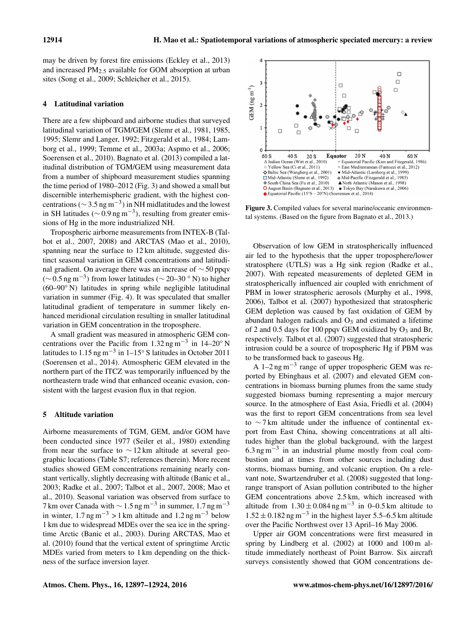may be driven by forest fire emissions (Eckley et al., 2013) and increased PM2.<sup>5</sup> available for GOM absorption at urban sites (Song et al., 2009; Schleicher et al., 2015).

#### 4 Latitudinal variation

There are a few shipboard and airborne studies that surveyed latitudinal variation of TGM/GEM (Slemr et al., 1981, 1985, 1995; Slemr and Langer, 1992; Fitzgerald et al., 1984; Lamborg et al., 1999; Temme et al., 2003a; Aspmo et al., 2006; Soerensen et al., 2010). Bagnato et al. (2013) compiled a latitudinal distribution of TGM/GEM using measurement data from a number of shipboard measurement studies spanning the time period of 1980–2012 (Fig. 3) and showed a small but discernible interhemispheric gradient, with the highest concentrations ( $\sim$  3.5 ng m<sup>-3</sup>) in NH midlatitudes and the lowest in SH latitudes ( $\sim$  0.9 ng m<sup>-3</sup>), resulting from greater emissions of Hg in the more industrialized NH.

Tropospheric airborne measurements from INTEX-B (Talbot et al., 2007, 2008) and ARCTAS (Mao et al., 2010), spanning near the surface to 12 km altitude, suggested distinct seasonal variation in GEM concentrations and latitudinal gradient. On average there was an increase of ∼ 50 ppqv ( $\sim$  0.5 ng m<sup>-3</sup>) from lower latitudes ( $\sim$  20–30 ° N) to higher (60–90◦ N) latitudes in spring while negligible latitudinal variation in summer (Fig. 4). It was speculated that smaller latitudinal gradient of temperature in summer likely enhanced meridional circulation resulting in smaller latitudinal variation in GEM concentration in the troposphere.

A small gradient was measured in atmospheric GEM concentrations over the Pacific from  $1.32$  ng m<sup>-3</sup> in 14–20° N latitudes to 1.15 ng m<sup>-3</sup> in 1–15° S latitudes in October 2011 (Soerensen et al., 2014). Atmospheric GEM elevated in the northern part of the ITCZ was temporarily influenced by the northeastern trade wind that enhanced oceanic evasion, consistent with the largest evasion flux in that region.

#### 5 Altitude variation

Airborne measurements of TGM, GEM, and/or GOM have been conducted since 1977 (Seiler et al., 1980) extending from near the surface to  $\sim$  12 km altitude at several geographic locations (Table S7; references therein). More recent studies showed GEM concentrations remaining nearly constant vertically, slightly decreasing with altitude (Banic et al., 2003; Radke et al., 2007; Talbot et al., 2007, 2008; Mao et al., 2010). Seasonal variation was observed from surface to 7 km over Canada with  $\sim 1.5$  ng m<sup>-3</sup> in summer, 1.7 ng m<sup>-3</sup> in winter,  $1.7 \text{ ng m}^{-3} > 1 \text{ km}$  altitude and  $1.2 \text{ ng m}^{-3}$  below 1 km due to widespread MDEs over the sea ice in the springtime Arctic (Banic et al., 2003). During ARCTAS, Mao et al. (2010) found that the vertical extent of springtime Arctic MDEs varied from meters to 1 km depending on the thickness of the surface inversion layer.



Figure 3. Compiled values for several marine/oceanic environmental systems. (Based on the figure from Bagnato et al., 2013.)

Observation of low GEM in stratospherically influenced air led to the hypothesis that the upper troposphere/lower stratosphere (UTLS) was a Hg sink region (Radke et al., 2007). With repeated measurements of depleted GEM in stratospherically influenced air coupled with enrichment of PBM in lower stratospheric aerosols (Murphy et al., 1998, 2006), Talbot et al. (2007) hypothesized that stratospheric GEM depletion was caused by fast oxidation of GEM by abundant halogen radicals and  $O<sub>3</sub>$  and estimated a lifetime of 2 and 0.5 days for 100 ppqv GEM oxidized by  $O_3$  and Br, respectively. Talbot et al. (2007) suggested that stratospheric intrusion could be a source of tropospheric Hg if PBM was to be transformed back to gaseous Hg.

A 1–2 ng m−<sup>3</sup> range of upper tropospheric GEM was reported by Ebinghaus et al. (2007) and elevated GEM concentrations in biomass burning plumes from the same study suggested biomass burning representing a major mercury source. In the atmosphere of East Asia, Friedli et al. (2004) was the first to report GEM concentrations from sea level to ∼ 7 km altitude under the influence of continental export from East China, showing concentrations at all altitudes higher than the global background, with the largest 6.3 ng m−<sup>3</sup> in an industrial plume mostly from coal combustion and at times from other sources including dust storms, biomass burning, and volcanic eruption. On a relevant note, Swartzendruber et al. (2008) suggested that longrange transport of Asian pollution contributed to the higher GEM concentrations above 2.5 km, which increased with altitude from  $1.30 \pm 0.084$  ng m<sup>-3</sup> in 0-0.5 km altitude to  $1.52 \pm 0.182$  ng m<sup>-3</sup> in the highest layer 5.5–6.5 km altitude over the Pacific Northwest over 13 April–16 May 2006.

Upper air GOM concentrations were first measured in spring by Lindberg et al. (2002) at 1000 and 100 m altitude immediately northeast of Point Barrow. Six aircraft surveys consistently showed that GOM concentrations de-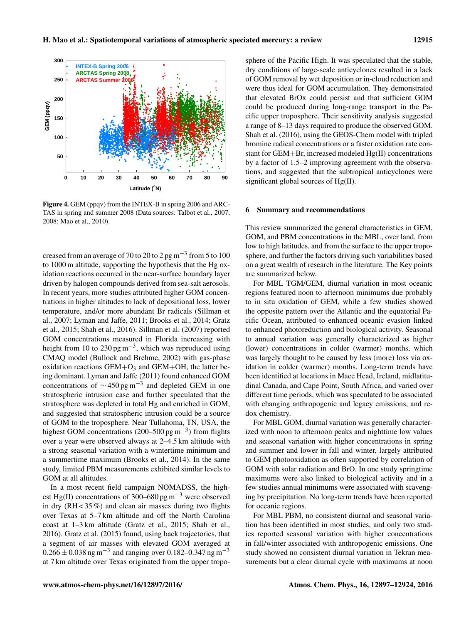

Figure 4. GEM (ppqv) from the INTEX-B in spring 2006 and ARC-TAS in spring and summer 2008 (Data sources: Talbot et al., 2007, 2008; Mao et al., 2010).

creased from an average of 70 to 20 to 2 pg m<sup>-3</sup> from 5 to 100 to 1000 m altitude, supporting the hypothesis that the Hg oxidation reactions occurred in the near-surface boundary layer driven by halogen compounds derived from sea-salt aerosols. In recent years, more studies attributed higher GOM concentrations in higher altitudes to lack of depositional loss, lower temperature, and/or more abundant Br radicals (Sillman et al., 2007; Lyman and Jaffe, 2011; Brooks et al., 2014; Gratz et al., 2015; Shah et al., 2016). Sillman et al. (2007) reported GOM concentrations measured in Florida increasing with height from 10 to 230 pg m<sup>-3</sup>, which was reproduced using CMAQ model (Bullock and Brehme, 2002) with gas-phase oxidation reactions  $GEM+O<sub>3</sub>$  and  $GEM+OH$ , the latter being dominant. Lyman and Jaffe (2011) found enhanced GOM concentrations of  $\sim$  450 pg m<sup>-3</sup> and depleted GEM in one stratospheric intrusion case and further speculated that the stratosphere was depleted in total Hg and enriched in GOM, and suggested that stratospheric intrusion could be a source of GOM to the troposphere. Near Tullahoma, TN, USA, the highest GOM concentrations (200–500 pg m<sup>-3</sup>) from flights over a year were observed always at 2–4.5 km altitude with a strong seasonal variation with a wintertime minimum and a summertime maximum (Brooks et al., 2014). In the same study, limited PBM measurements exhibited similar levels to GOM at all altitudes.

In a most recent field campaign NOMADSS, the highest Hg(II) concentrations of 300–680 pg m<sup>-3</sup> were observed in dry  $(RH < 35\%)$  and clean air masses during two flights over Texas at 5–7 km altitude and off the North Carolina coast at 1–3 km altitude (Gratz et al., 2015; Shah et al., 2016). Gratz et al. (2015) found, using back trajectories, that a segment of air masses with elevated GOM averaged at  $0.266 \pm 0.038$  ng m<sup>-3</sup> and ranging over 0.182–0.347 ng m<sup>-3</sup> at 7 km altitude over Texas originated from the upper troposphere of the Pacific High. It was speculated that the stable, dry conditions of large-scale anticyclones resulted in a lack of GOM removal by wet deposition or in-cloud reduction and were thus ideal for GOM accumulation. They demonstrated that elevated BrOx could persist and that sufficient GOM could be produced during long-range transport in the Pacific upper troposphere. Their sensitivity analysis suggested a range of 8–13 days required to produce the observed GOM. Shah et al. (2016), using the GEOS-Chem model with tripled bromine radical concentrations or a faster oxidation rate constant for GEM+Br, increased modeled Hg(II) concentrations by a factor of 1.5–2 improving agreement with the observations, and suggested that the subtropical anticyclones were significant global sources of Hg(II).

#### 6 Summary and recommendations

This review summarized the general characteristics in GEM, GOM, and PBM concentrations in the MBL, over land, from low to high latitudes, and from the surface to the upper troposphere, and further the factors driving such variabilities based on a great wealth of research in the literature. The Key points are summarized below.

For MBL TGM/GEM, diurnal variation in most oceanic regions featured noon to afternoon minimums due probably to in situ oxidation of GEM, while a few studies showed the opposite pattern over the Atlantic and the equatorial Pacific Ocean, attributed to enhanced oceanic evasion linked to enhanced photoreduction and biological activity. Seasonal to annual variation was generally characterized as higher (lower) concentrations in colder (warmer) months, which was largely thought to be caused by less (more) loss via oxidation in colder (warmer) months. Long-term trends have been identified at locations in Mace Head, Ireland, midlatitudinal Canada, and Cape Point, South Africa, and varied over different time periods, which was speculated to be associated with changing anthropogenic and legacy emissions, and redox chemistry.

For MBL GOM, diurnal variation was generally characterized with noon to afternoon peaks and nighttime low values and seasonal variation with higher concentrations in spring and summer and lower in fall and winter, largely attributed to GEM photooxidation as often supported by correlation of GOM with solar radiation and BrO. In one study springtime maximums were also linked to biological activity and in a few studies annual minimums were associated with scavenging by precipitation. No long-term trends have been reported for oceanic regions.

For MBL PBM, no consistent diurnal and seasonal variation has been identified in most studies, and only two studies reported seasonal variation with higher concentrations in fall/winter associated with anthropogenic emissions. One study showed no consistent diurnal variation in Tekran measurements but a clear diurnal cycle with maximums at noon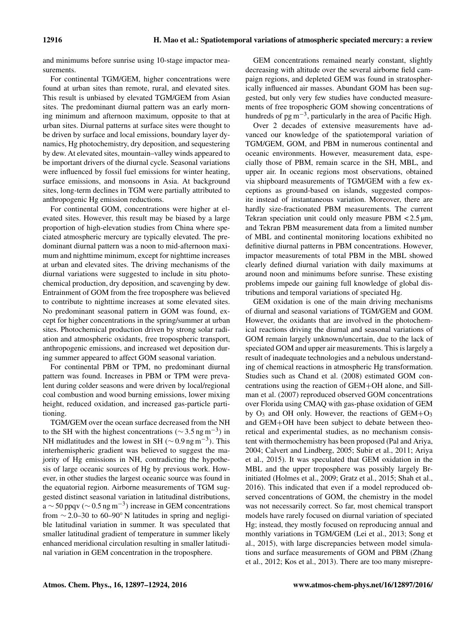and minimums before sunrise using 10-stage impactor measurements.

For continental TGM/GEM, higher concentrations were found at urban sites than remote, rural, and elevated sites. This result is unbiased by elevated TGM/GEM from Asian sites. The predominant diurnal pattern was an early morning minimum and afternoon maximum, opposite to that at urban sites. Diurnal patterns at surface sites were thought to be driven by surface and local emissions, boundary layer dynamics, Hg photochemistry, dry deposition, and sequestering by dew. At elevated sites, mountain–valley winds appeared to be important drivers of the diurnal cycle. Seasonal variations were influenced by fossil fuel emissions for winter heating, surface emissions, and monsoons in Asia. At background sites, long-term declines in TGM were partially attributed to anthropogenic Hg emission reductions.

For continental GOM, concentrations were higher at elevated sites. However, this result may be biased by a large proportion of high-elevation studies from China where speciated atmospheric mercury are typically elevated. The predominant diurnal pattern was a noon to mid-afternoon maximum and nighttime minimum, except for nighttime increases at urban and elevated sites. The driving mechanisms of the diurnal variations were suggested to include in situ photochemical production, dry deposition, and scavenging by dew. Entrainment of GOM from the free troposphere was believed to contribute to nighttime increases at some elevated sites. No predominant seasonal pattern in GOM was found, except for higher concentrations in the spring/summer at urban sites. Photochemical production driven by strong solar radiation and atmospheric oxidants, free tropospheric transport, anthropogenic emissions, and increased wet deposition during summer appeared to affect GOM seasonal variation.

For continental PBM or TPM, no predominant diurnal pattern was found. Increases in PBM or TPM were prevalent during colder seasons and were driven by local/regional coal combustion and wood burning emissions, lower mixing height, reduced oxidation, and increased gas-particle partitioning.

TGM/GEM over the ocean surface decreased from the NH to the SH with the highest concentrations ( $\sim$  3.5 ng m<sup>-3</sup>) in NH midlatitudes and the lowest in SH ( $\sim$  0.9 ng m<sup>-3</sup>). This interhemispheric gradient was believed to suggest the majority of Hg emissions in NH, contradicting the hypothesis of large oceanic sources of Hg by previous work. However, in other studies the largest oceanic source was found in the equatorial region. Airborne measurements of TGM suggested distinct seasonal variation in latitudinal distributions,  $a \sim 50$  ppqv ( $\sim 0.5$  ng m<sup>-3</sup>) increase in GEM concentrations from  $\sim$  2.0–30 to 60–90° N latitudes in spring and negligible latitudinal variation in summer. It was speculated that smaller latitudinal gradient of temperature in summer likely enhanced meridional circulation resulting in smaller latitudinal variation in GEM concentration in the troposphere.

GEM concentrations remained nearly constant, slightly decreasing with altitude over the several airborne field campaign regions, and depleted GEM was found in stratospherically influenced air masses. Abundant GOM has been suggested, but only very few studies have conducted measurements of free tropospheric GOM showing concentrations of hundreds of pg m<sup>-3</sup>, particularly in the area of Pacific High.

Over 2 decades of extensive measurements have advanced our knowledge of the spatiotemporal variation of TGM/GEM, GOM, and PBM in numerous continental and oceanic environments. However, measurement data, especially those of PBM, remain scarce in the SH, MBL, and upper air. In oceanic regions most observations, obtained via shipboard measurements of TGM/GEM with a few exceptions as ground-based on islands, suggested composite instead of instantaneous variation. Moreover, there are hardly size-fractionated PBM measurements. The current Tekran speciation unit could only measure PBM  $\lt$  2.5  $\mu$ m, and Tekran PBM measurement data from a limited number of MBL and continental monitoring locations exhibited no definitive diurnal patterns in PBM concentrations. However, impactor measurements of total PBM in the MBL showed clearly defined diurnal variation with daily maximums at around noon and minimums before sunrise. These existing problems impede our gaining full knowledge of global distributions and temporal variations of speciated Hg.

GEM oxidation is one of the main driving mechanisms of diurnal and seasonal variations of TGM/GEM and GOM. However, the oxidants that are involved in the photochemical reactions driving the diurnal and seasonal variations of GOM remain largely unknown/uncertain, due to the lack of speciated GOM and upper air measurements. This is largely a result of inadequate technologies and a nebulous understanding of chemical reactions in atmospheric Hg transformation. Studies such as Chand et al. (2008) estimated GOM concentrations using the reaction of GEM+OH alone, and Sillman et al. (2007) reproduced observed GOM concentrations over Florida using CMAQ with gas-phase oxidation of GEM by  $O_3$  and OH only. However, the reactions of  $GEM+O_3$ and GEM+OH have been subject to debate between theoretical and experimental studies, as no mechanism consistent with thermochemistry has been proposed (Pal and Ariya, 2004; Calvert and Lindberg, 2005; Subir et al., 2011; Ariya et al., 2015). It was speculated that GEM oxidation in the MBL and the upper troposphere was possibly largely Brinitiated (Holmes et al., 2009; Gratz et al., 2015; Shah et al., 2016). This indicated that even if a model reproduced observed concentrations of GOM, the chemistry in the model was not necessarily correct. So far, most chemical transport models have rarely focused on diurnal variation of speciated Hg; instead, they mostly focused on reproducing annual and monthly variations in TGM/GEM (Lei et al., 2013; Song et al., 2015), with large discrepancies between model simulations and surface measurements of GOM and PBM (Zhang et al., 2012; Kos et al., 2013). There are too many misrepre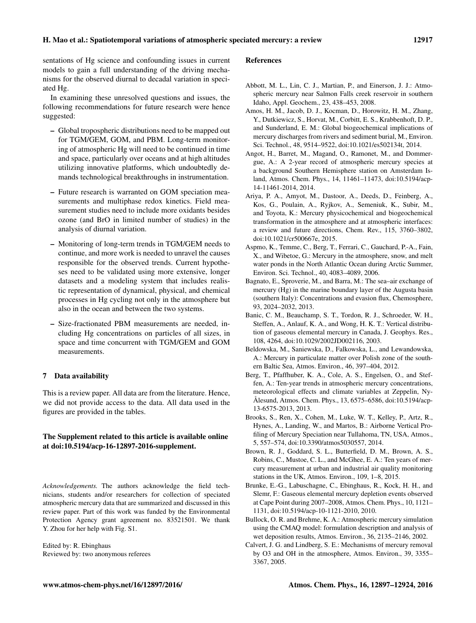sentations of Hg science and confounding issues in current models to gain a full understanding of the driving mechanisms for the observed diurnal to decadal variation in speciated Hg.

In examining these unresolved questions and issues, the following recommendations for future research were hence suggested:

- Global tropospheric distributions need to be mapped out for TGM/GEM, GOM, and PBM. Long-term monitoring of atmospheric Hg will need to be continued in time and space, particularly over oceans and at high altitudes utilizing innovative platforms, which undoubtedly demands technological breakthroughs in instrumentation.
- Future research is warranted on GOM speciation measurements and multiphase redox kinetics. Field measurement studies need to include more oxidants besides ozone (and BrO in limited number of studies) in the analysis of diurnal variation.
- Monitoring of long-term trends in TGM/GEM needs to continue, and more work is needed to unravel the causes responsible for the observed trends. Current hypotheses need to be validated using more extensive, longer datasets and a modeling system that includes realistic representation of dynamical, physical, and chemical processes in Hg cycling not only in the atmosphere but also in the ocean and between the two systems.
- Size-fractionated PBM measurements are needed, including Hg concentrations on particles of all sizes, in space and time concurrent with TGM/GEM and GOM measurements.

# 7 Data availability

This is a review paper. All data are from the literature. Hence, we did not provide access to the data. All data used in the figures are provided in the tables.

# The Supplement related to this article is available online at [doi:10.5194/acp-16-12897-2016-supplement.](http://dx.doi.org/10.5194/acp-16-12897-2016-supplement)

*Acknowledgements.* The authors acknowledge the field technicians, students and/or researchers for collection of speciated atmospheric mercury data that are summarized and discussed in this review paper. Part of this work was funded by the Environmental Protection Agency grant agreement no. 83521501. We thank Y. Zhou for her help with Fig. S1.

Edited by: R. Ebinghaus Reviewed by: two anonymous referees

#### References

- Abbott, M. L., Lin, C. J., Martian, P., and Einerson, J. J.: Atmospheric mercury near Salmon Falls creek reservoir in southern Idaho, Appl. Geochem., 23, 438–453, 2008.
- Amos, H. M., Jacob, D. J., Kocman, D., Horowitz, H. M., Zhang, Y., Dutkiewicz, S., Horvat, M., Corbitt, E. S., Krabbenhoft, D. P., and Sunderland, E. M.: Global biogeochemical implications of mercury discharges from rivers and sediment burial, M., Environ. Sci. Technol., 48, 9514–9522, doi[:10.1021/es502134t,](http://dx.doi.org/10.1021/es502134t) 2014.
- Angot, H., Barret, M., Magand, O., Ramonet, M., and Dommergue, A.: A 2-year record of atmospheric mercury species at a background Southern Hemisphere station on Amsterdam Island, Atmos. Chem. Phys., 14, 11461–11473, doi[:10.5194/acp-](http://dx.doi.org/10.5194/acp-14-11461-2014)[14-11461-2014,](http://dx.doi.org/10.5194/acp-14-11461-2014) 2014.
- Ariya, P. A., Amyot, M., Dastoor, A., Deeds, D., Feinberg, A., Kos, G., Poulain, A., Ryjkov, A., Semeniuk, K., Subir, M., and Toyota, K.: Mercury physicochemical and biogeochemical transformation in the atmosphere and at atmospheric interfaces: a review and future directions, Chem. Rev., 115, 3760–3802, doi[:10.1021/cr500667e,](http://dx.doi.org/10.1021/cr500667e) 2015.
- Aspmo, K., Temme, C., Berg, T., Ferrari, C., Gauchard, P.-A., Fain, X., and Wibetoe, G.: Mercury in the atmosphere, snow, and melt water ponds in the North Atlantic Ocean during Arctic Summer, Environ. Sci. Technol., 40, 4083–4089, 2006.
- Bagnato, E., Sproverie, M., and Barra, M.: The sea–air exchange of mercury (Hg) in the marine boundary layer of the Augusta basin (southern Italy): Concentrations and evasion flux, Chemosphere, 93, 2024–2032, 2013.
- Banic, C. M., Beauchamp, S. T., Tordon, R. J., Schroeder, W. H., Steffen, A., Anlauf, K. A., and Wong, H. K. T.: Vertical distribution of gaseous elemental mercury in Canada, J. Geophys. Res., 108, 4264, doi[:10.1029/2002JD002116,](http://dx.doi.org/10.1029/2002JD002116) 2003.
- Beldowska, M., Saniewska, D., Falkowska, L., and Lewandowska, A.: Mercury in particulate matter over Polish zone of the southern Baltic Sea, Atmos. Environ., 46, 397–404, 2012.
- Berg, T., Pfaffhuber, K. A., Cole, A. S., Engelsen, O., and Steffen, A.: Ten-year trends in atmospheric mercury concentrations, meteorological effects and climate variables at Zeppelin, Ny-Ålesund, Atmos. Chem. Phys., 13, 6575–6586, doi[:10.5194/acp-](http://dx.doi.org/10.5194/acp-13-6575-2013)[13-6575-2013,](http://dx.doi.org/10.5194/acp-13-6575-2013) 2013.
- Brooks, S., Ren, X., Cohen, M., Luke, W. T., Kelley, P., Artz, R., Hynes, A., Landing, W., and Martos, B.: Airborne Vertical Profiling of Mercury Speciation near Tullahoma, TN, USA, Atmos., 5, 557–574, doi[:10.3390/atmos5030557,](http://dx.doi.org/10.3390/atmos5030557) 2014.
- Brown, R. J., Goddard, S. L., Butterfield, D. M., Brown, A. S., Robins, C., Mustoe, C. L., and McGhee, E. A.: Ten years of mercury measurement at urban and industrial air quality monitoring stations in the UK, Atmos. Environ., 109, 1–8, 2015.
- Brunke, E.-G., Labuschagne, C., Ebinghaus, R., Kock, H. H., and Slemr, F.: Gaseous elemental mercury depletion events observed at Cape Point during 2007–2008, Atmos. Chem. Phys., 10, 1121– 1131, doi[:10.5194/acp-10-1121-2010,](http://dx.doi.org/10.5194/acp-10-1121-2010) 2010.
- Bullock, O. R. and Brehme, K. A.: Atmospheric mercury simulation using the CMAQ model: formulation description and analysis of wet deposition results, Atmos. Environ., 36, 2135–2146, 2002.
- Calvert, J. G. and Lindberg, S. E.: Mechanisms of mercury removal by O3 and OH in the atmosphere, Atmos. Environ., 39, 3355– 3367, 2005.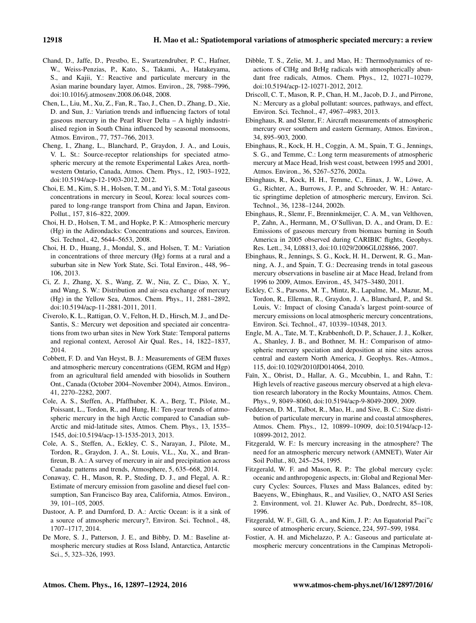- Chand, D., Jaffe, D., Prestbo, E., Swartzendruber, P. C., Hafner, W., Weiss-Penzias, P., Kato, S., Takami, A., Hatakeyama, S., and Kajii, Y.: Reactive and particulate mercury in the Asian marine boundary layer, Atmos. Environ., 28, 7988–7996, doi[:10.1016/j.atmosenv.2008.06.048,](http://dx.doi.org/10.1016/j.atmosenv.2008.06.048) 2008.
- Chen, L., Liu, M., Xu, Z., Fan, R., Tao, J., Chen, D., Zhang, D., Xie, D. and Sun, J.: Variation trends and influencing factors of total gaseous mercury in the Pearl River Delta – A highly industrialised region in South China influenced by seasonal monsoons, Atmos. Environ., 77, 757–766, 2013.
- Cheng, I., Zhang, L., Blanchard, P., Graydon, J. A., and Louis, V. L. St.: Source-receptor relationships for speciated atmospheric mercury at the remote Experimental Lakes Area, northwestern Ontario, Canada, Atmos. Chem. Phys., 12, 1903–1922, doi[:10.5194/acp-12-1903-2012,](http://dx.doi.org/10.5194/acp-12-1903-2012) 2012.
- Choi, E. M., Kim, S. H., Holsen, T. M., and Yi, S. M.: Total gaseous concentrations in mercury in Seoul, Korea: local sources compared to long-range transport from China and Japan, Environ. Pollut., 157, 816–822, 2009.
- Choi, H. D., Holsen, T. M., and Hopke, P. K.: Atmospheric mercury (Hg) in the Adirondacks: Concentrations and sources, Environ. Sci. Technol., 42, 5644–5653, 2008.
- Choi, H. D., Huang, J., Mondal, S., and Holsen, T. M.: Variation in concentrations of three mercury (Hg) forms at a rural and a suburban site in New York State, Sci. Total Environ., 448, 96– 106, 2013.
- Ci, Z. J., Zhang, X. S., Wang, Z. W., Niu, Z. C., Diao, X. Y., and Wang, S. W.: Distribution and air-sea exchange of mercury (Hg) in the Yellow Sea, Atmos. Chem. Phys., 11, 2881–2892, doi[:10.5194/acp-11-2881-2011,](http://dx.doi.org/10.5194/acp-11-2881-2011) 2011.
- Civerolo, K. L., Rattigan, O. V., Felton, H. D., Hirsch, M. J., and De-Santis, S.: Mercury wet deposition and speciated air concentrations from two urban sites in New York State: Temporal patterns and regional context, Aerosol Air Qual. Res., 14, 1822–1837, 2014.
- Cobbett, F. D. and Van Heyst, B. J.: Measurements of GEM fluxes and atmospheric mercury concentrations (GEM, RGM and Hgp) from an agricultural field amended with biosolids in Southern Ont., Canada (October 2004–November 2004), Atmos. Environ., 41, 2270–2282, 2007.
- Cole, A. S., Steffen, A., Pfaffhuber, K. A., Berg, T., Pilote, M., Poissant, L., Tordon, R., and Hung, H.: Ten-year trends of atmospheric mercury in the high Arctic compared to Canadian sub-Arctic and mid-latitude sites, Atmos. Chem. Phys., 13, 1535– 1545, doi[:10.5194/acp-13-1535-2013,](http://dx.doi.org/10.5194/acp-13-1535-2013) 2013.
- Cole, A. S., Steffen, A., Eckley, C. S., Narayan, J., Pilote, M., Tordon, R., Graydon, J. A., St. Louis, V.L., Xu, X., and Branfireun, B. A.: A survey of mercury in air and precipitation across Canada: patterns and trends, Atmosphere, 5, 635–668, 2014.
- Conaway, C. H., Mason, R. P., Steding, D. J., and Flegal, A. R.: Estimate of mercury emission from gasoline and diesel fuel consumption, San Francisco Bay area, California, Atmos. Environ., 39, 101–105, 2005.
- Dastoor, A. P. and Durnford, D. A.: Arctic Ocean: is it a sink of a source of atmospheric mercury?, Environ. Sci. Technol., 48, 1707–1717, 2014.
- De More, S. J., Patterson, J. E., and Bibby, D. M.: Baseline atmospheric mercury studies at Ross Island, Antarctica, Antarctic Sci., 5, 323–326, 1993.
- Dibble, T. S., Zelie, M. J., and Mao, H.: Thermodynamics of reactions of ClHg and BrHg radicals with atmospherically abundant free radicals, Atmos. Chem. Phys., 12, 10271–10279, doi[:10.5194/acp-12-10271-2012,](http://dx.doi.org/10.5194/acp-12-10271-2012) 2012.
- Driscoll, C. T., Mason, R. P., Chan, H. M., Jacob, D. J., and Pirrone, N.: Mercury as a global pollutant: sources, pathways, and effect, Environ. Sci. Technol., 47, 4967–4983, 2013.
- Ebinghaus, R. and Slemr, F.: Aircraft measurements of atmospheric mercury over southern and eastern Germany, Atmos. Environ., 34, 895–903, 2000.
- Ebinghaus, R., Kock, H. H., Coggin, A. M., Spain, T. G., Jennings, S. G., and Temme, C.: Long term measurements of atmospheric mercury at Mace Head, Irish west coast, between 1995 and 2001, Atmos. Environ., 36, 5267–5276, 2002a.
- Ebinghaus, R., Kock, H. H., Temme, C., Einax, J. W., Löwe, A. G., Richter, A., Burrows, J. P., and Schroeder, W. H.: Antarctic springtime depletion of atmospheric mercury, Environ. Sci. Technol., 36, 1238–1244, 2002b.
- Ebinghaus, R., Slemr, F., Brenninkmeijer, C. A. M., van Velthoven, P., Zahn, A., Hermann, M., O'Sullivan, D. A., and Oram, D. E.: Emissions of gaseous mercury from biomass burning in South America in 2005 observed during CARIBIC flights, Geophys. Res. Lett., 34, L08813, doi[:10.1029/2006GL028866,](http://dx.doi.org/10.1029/2006GL028866) 2007.
- Ebinghaus, R., Jennings, S. G., Kock, H. H., Derwent, R. G., Manning, A. J., and Spain, T. G.: Decreasing trends in total gaseous mercury observations in baseline air at Mace Head, Ireland from 1996 to 2009, Atmos. Environ., 45, 3475–3480, 2011.
- Eckley, C. S., Parsons, M. T., Mintz, R., Lapalme, M., Mazur, M., Tordon, R., Elleman, R., Graydon, J. A., Blanchard, P., and St. Louis, V.: Impact of closing Canada's largest point-source of mercury emissions on local atmospheric mercury concentrations, Environ. Sci. Technol., 47, 10339–10348, 2013.
- Engle, M. A., Tate, M. T., Krabbenhoft, D. P., Schauer, J. J., Kolker, A., Shanley, J. B., and Bothner, M. H.: Comparison of atmospheric mercury speciation and deposition at nine sites across central and eastern North America, J. Geophys. Res.-Atmos., 115, doi[:10.1029/2010JD014064,](http://dx.doi.org/10.1029/2010JD014064) 2010.
- Faïn, X., Obrist, D., Hallar, A. G., Mccubbin, I., and Rahn, T.: High levels of reactive gaseous mercury observed at a high elevation research laboratory in the Rocky Mountains, Atmos. Chem. Phys., 9, 8049–8060, doi[:10.5194/acp-9-8049-2009,](http://dx.doi.org/10.5194/acp-9-8049-2009) 2009.
- Feddersen, D. M., Talbot, R., Mao, H., and Sive, B. C.: Size distribution of particulate mercury in marine and coastal atmospheres, Atmos. Chem. Phys., 12, 10899–10909, doi[:10.5194/acp-12-](http://dx.doi.org/10.5194/acp-12-10899-2012) [10899-2012,](http://dx.doi.org/10.5194/acp-12-10899-2012) 2012.
- Fitzgerald, W. F.: Is mercury increasing in the atmosphere? The need for an atmospheric mercury network (AMNET), Water Air Soil Pollut., 80, 245–254, 1995.
- Fitzgerald, W. F. and Mason, R. P.: The global mercury cycle: oceanic and anthropogenic aspects, in: Global and Regional Mercury Cycles: Sources, Fluxes and Mass Balances, edited by: Baeyens, W., Ebinghaus, R., and Vasiliev, O., NATO ASI Series 2. Environment, vol. 21. Kluwer Ac. Pub., Dordrecht, 85–108, 1996.
- Fitzgerald, W. F., Gill, G. A., and Kim, J. P.: An Equatorial Paci"c source of atmospheric ercury, Science, 224, 597–599, 1984.
- Fostier, A. H. and Michelazzo, P. A.: Gaseous and particulate atmospheric mercury concentrations in the Campinas Metropoli-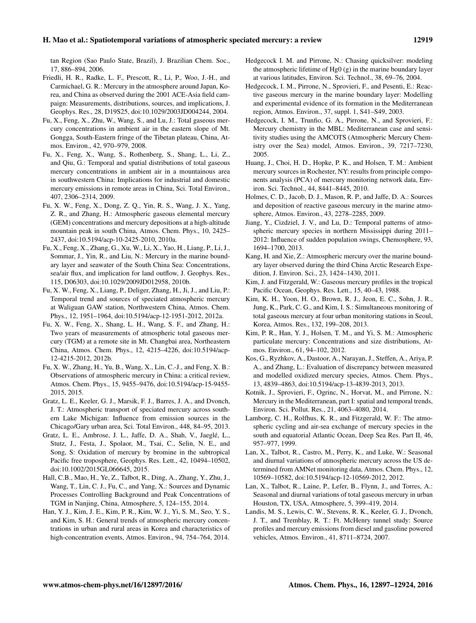tan Region (Sao Paulo State, Brazil), J. Brazilian Chem. Soc., 17, 886–894, 2006.

- Friedli, H. R., Radke, L. F., Prescott, R., Li, P., Woo, J.-H., and Carmichael, G. R.: Mercury in the atmosphere around Japan, Korea, and China as observed during the 2001 ACE-Asia field campaign: Measurements, distributions, sources, and implications, J. Geophys. Res., 28, D19S25, doi[:10.1029/2003JD004244,](http://dx.doi.org/10.1029/2003JD004244) 2004.
- Fu, X., Feng, X., Zhu, W., Wang, S., and Lu, J.: Total gaseous mercury concentrations in ambient air in the eastern slope of Mt. Gongga, South-Eastern fringe of the Tibetan plateau, China, Atmos. Environ., 42, 970–979, 2008.
- Fu, X., Feng, X., Wang, S., Rothenberg, S., Shang, L., Li, Z., and Qiu, G.: Temporal and spatial distributions of total gaseous mercury concentrations in ambient air in a mountainous area in southwestern China: Implications for industrial and domestic mercury emissions in remote areas in China, Sci. Total Environ., 407, 2306–2314, 2009.
- Fu, X. W., Feng, X., Dong, Z. Q., Yin, R. S., Wang, J. X., Yang, Z. R., and Zhang, H.: Atmospheric gaseous elemental mercury (GEM) concentrations and mercury depositions at a high-altitude mountain peak in south China, Atmos. Chem. Phys., 10, 2425– 2437, doi[:10.5194/acp-10-2425-2010,](http://dx.doi.org/10.5194/acp-10-2425-2010) 2010a.
- Fu, X., Feng, X., Zhang, G., Xu, W., Li, X., Yao, H., Liang, P., Li, J., Sommar, J., Yin, R., and Liu, N.: Mercury in the marine boundary layer and seawater of the South China Sea: Concentrations, sea/air flux, and implication for land outflow, J. Geophys. Res., 115, D06303, doi[:10.1029/2009JD012958,](http://dx.doi.org/10.1029/2009JD012958) 2010b.
- Fu, X. W., Feng, X., Liang, P., Deliger, Zhang, H., Ji, J., and Liu, P.: Temporal trend and sources of speciated atmospheric mercury at Waliguan GAW station, Northwestern China, Atmos. Chem. Phys., 12, 1951–1964, doi[:10.5194/acp-12-1951-2012,](http://dx.doi.org/10.5194/acp-12-1951-2012) 2012a.
- Fu, X. W., Feng, X., Shang, L. H., Wang, S. F., and Zhang, H.: Two years of measurements of atmospheric total gaseous mercury (TGM) at a remote site in Mt. Changbai area, Northeastern China, Atmos. Chem. Phys., 12, 4215–4226, doi[:10.5194/acp-](http://dx.doi.org/10.5194/acp-12-4215-2012)[12-4215-2012,](http://dx.doi.org/10.5194/acp-12-4215-2012) 2012b.
- Fu, X. W., Zhang, H., Yu, B., Wang, X., Lin, C.-J., and Feng, X. B.: Observations of atmospheric mercury in China: a critical review, Atmos. Chem. Phys., 15, 9455–9476, doi[:10.5194/acp-15-9455-](http://dx.doi.org/10.5194/acp-15-9455-2015) [2015,](http://dx.doi.org/10.5194/acp-15-9455-2015) 2015.
- Gratz, L. E., Keeler, G. J., Marsik, F. J., Barres, J. A., and Dvonch, J. T.: Atmospheric transport of speciated mercury across southern Lake Michigan: Influence from emission sources in the Chicago/Gary urban area, Sci. Total Environ., 448, 84–95, 2013.
- Gratz, L. E., Ambrose, J. L., Jaffe, D. A., Shah, V., Jaeglé, L., Stutz, J., Festa, J., Spolaor, M., Tsai, C., Selin, N. E., and Song, S: Oxidation of mercury by bromine in the subtropical Pacific free troposphere, Geophys. Res. Lett., 42, 10494–10502, doi[:10.1002/2015GL066645,](http://dx.doi.org/10.1002/2015GL066645) 2015.
- Hall, C.B., Mao, H., Ye, Z., Talbot, R., Ding, A., Zhang, Y., Zhu, J., Wang, T., Lin, C. J., Fu, C., and Yang, X.: Sources and Dynamic Processes Controlling Background and Peak Concentrations of TGM in Nanjing, China, Atmosphere, 5, 124–155, 2014.
- Han, Y. J., Kim, J. E., Kim, P. R., Kim, W. J., Yi, S. M., Seo, Y. S., and Kim, S. H.: General trends of atmospheric mercury concentrations in urban and rural areas in Korea and characteristics of high-concentration events, Atmos. Environ., 94, 754–764, 2014.
- Hedgecock I. M. and Pirrone, N.: Chasing quicksilver: modeling the atmospheric lifetime of Hg0 (g) in the marine boundary layer at various latitudes, Environ. Sci. Technol., 38, 69–76, 2004.
- Hedgecock, I. M., Pirrone, N., Sprovieri, F., and Pesenti, E.: Reactive gaseous mercury in the marine boundary layer: Modelling and experimental evidence of its formation in the Mediterranean region, Atmos. Environ., 37, suppl. 1, S41–S49, 2003.
- Hedgecock, I. M., Trunfio, G. A., Pirrone, N., and Sprovieri, F.: Mercury chemistry in the MBL: Mediterranean case and sensitivity studies using the AMCOTS (Atmospheric Mercury Chemistry over the Sea) model, Atmos. Environ., 39, 7217–7230, 2005.
- Huang, J., Choi, H. D., Hopke, P. K., and Holsen, T. M.: Ambient mercury sources in Rochester, NY: results from principle components analysis (PCA) of mercury monitoring network data, Environ. Sci. Technol., 44, 8441–8445, 2010.
- Holmes, C. D., Jacob, D. J., Mason, R. P., and Jaffe, D. A.: Sources and deposition of reactive gaseous mercury in the marine atmosphere, Atmos. Environ., 43, 2278–2285, 2009.
- Jiang, Y., Cizdziel, J. V., and Lu, D.: Temporal patterns of atmospheric mercury species in northern Mississippi during 2011– 2012: Influence of sudden population swings, Chemosphere, 93, 1694–1700, 2013.
- Kang, H. and Xie, Z.: Atmospheric mercury over the marine boundary layer observed during the third China Arctic Research Expedition, J. Environ. Sci., 23, 1424–1430, 2011.
- Kim, J. and Fitzgerald, W.: Gaseous mercury profiles in the tropical Pacific Ocean, Geophys. Res. Lett., 15, 40–43, 1988.
- Kim, K. H., Yoon, H. O., Brown, R. J., Jeon, E. C., Sohn, J. R., Jung, K., Park, C. G., and Kim, I. S.: Simultaneous monitoring of total gaseous mercury at four urban monitoring stations in Seoul, Korea, Atmos. Res., 132, 199–208, 2013.
- Kim, P. R., Han, Y. J., Holsen, T. M., and Yi, S. M.: Atmospheric particulate mercury: Concentrations and size distributions, Atmos. Environ., 61, 94–102, 2012.
- Kos, G., Ryzhkov, A., Dastoor, A., Narayan, J., Steffen, A., Ariya, P. A., and Zhang, L.: Evaluation of discrepancy between measured and modelled oxidized mercury species, Atmos. Chem. Phys., 13, 4839–4863, doi[:10.5194/acp-13-4839-2013,](http://dx.doi.org/10.5194/acp-13-4839-2013) 2013.
- Kotnik, J., Sprovieri, F., Ogrinc, N., Horvat, M., and Pirrone, N.: Mercury in the Mediterranean, part I: spatial and temporal trends, Environ. Sci. Pollut. Res., 21, 4063–4080, 2014.
- Lamborg, C. H., Rolfhus, K. R., and Fitzgerald, W. F.: The atmospheric cycling and air-sea exchange of mercury species in the south and equatorial Atlantic Ocean, Deep Sea Res. Part II, 46, 957–977, 1999.
- Lan, X., Talbot, R., Castro, M., Perry, K., and Luke, W.: Seasonal and diurnal variations of atmospheric mercury across the US determined from AMNet monitoring data, Atmos. Chem. Phys., 12, 10569–10582, doi[:10.5194/acp-12-10569-2012,](http://dx.doi.org/10.5194/acp-12-10569-2012) 2012.
- Lan, X., Talbot, R., Laine, P., Lefer, B., Flynn, J., and Torres, A.: Seasonal and diurnal variations of total gaseous mercury in urban Houston, TX, USA, Atmosphere, 5, 399–419, 2014.
- Landis, M. S., Lewis, C. W., Stevens, R. K., Keeler, G. J., Dvonch, J. T., and Tremblay, R. T.: Ft. McHenry tunnel study: Source profiles and mercury emissions from diesel and gasoline powered vehicles, Atmos. Environ., 41, 8711–8724, 2007.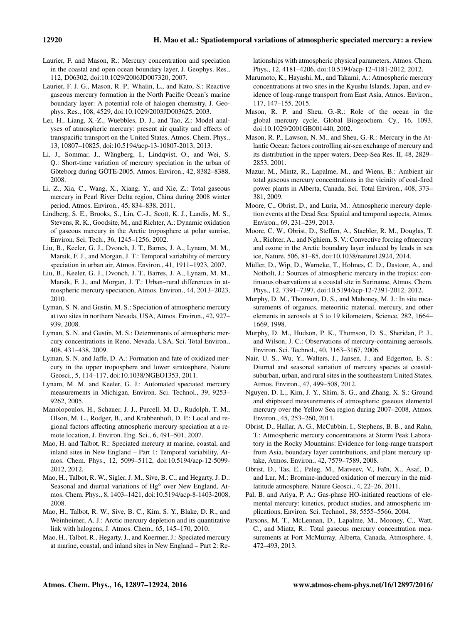- Laurier, F. and Mason, R.: Mercury concentration and speciation in the coastal and open ocean boundary layer, J. Geophys. Res., 112, D06302, doi[:10.1029/2006JD007320,](http://dx.doi.org/10.1029/2006JD007320) 2007.
- Laurier, F. J. G., Mason, R. P., Whalin, L., and Kato, S.: Reactive gaseous mercury formation in the North Pacific Ocean's marine boundary layer: A potential role of halogen chemistry, J. Geophys. Res., 108, 4529, doi[:10.1029/2003JD003625,](http://dx.doi.org/10.1029/2003JD003625) 2003.
- Lei, H., Liang, X.-Z., Wuebbles, D. J., and Tao, Z.: Model analyses of atmospheric mercury: present air quality and effects of transpacific transport on the United States, Atmos. Chem. Phys., 13, 10807–10825, doi[:10.5194/acp-13-10807-2013,](http://dx.doi.org/10.5194/acp-13-10807-2013) 2013.
- Li, J., Sommar, J., Wängberg, I., Lindqvist, O., and Wei, S. Q.: Short-time variation of mercury speciation in the urban of Göteborg during GÖTE-2005, Atmos. Environ., 42, 8382–8388, 2008.
- Li, Z., Xia, C., Wang, X., Xiang, Y., and Xie, Z.: Total gaseous mercury in Pearl River Delta region, China during 2008 winter period, Atmos. Environ., 45, 834–838, 2011.
- Lindberg, S. E., Brooks, S., Lin, C.-J., Scott, K. J., Landis, M. S., Stevens, R. K., Goodsite, M., and Richter, A.: Dynamic oxidation of gaseous mercury in the Arctic troposphere at polar sunrise, Environ. Sci. Tech., 36, 1245–1256, 2002.
- Liu, B., Keeler, G. J., Dvonch, J. T., Barres, J. A., Lynam, M. M., Marsik, F. J., and Morgan, J. T.: Temporal variability of mercury speciation in urban air, Atmos. Environ., 41, 1911–1923, 2007.
- Liu, B., Keeler, G. J., Dvonch, J. T., Barres, J. A., Lynam, M. M., Marsik, F. J., and Morgan, J. T.: Urban–rural differences in atmospheric mercury speciation, Atmos. Environ., 44, 2013–2023, 2010.
- Lyman, S. N. and Gustin, M. S.: Speciation of atmospheric mercury at two sites in northern Nevada, USA, Atmos. Environ., 42, 927– 939, 2008.
- Lyman, S. N. and Gustin, M. S.: Determinants of atmospheric mercury concentrations in Reno, Nevada, USA, Sci. Total Environ., 408, 431–438, 2009.
- Lyman, S. N. and Jaffe, D. A.: Formation and fate of oxidized mercury in the upper troposphere and lower stratosphere, Nature Geosci., 5, 114–117, doi[:10.1038/NGEO1353,](http://dx.doi.org/10.1038/NGEO1353) 2011.
- Lynam, M. M. and Keeler, G. J.: Automated speciated mercury measurements in Michigan, Environ. Sci. Technol., 39, 9253– 9262, 2005.
- Manolopoulos, H., Schauer, J. J., Purcell, M. D., Rudolph, T. M., Olson, M. L., Rodger, B., and Krabbenhoft, D. P.: Local and regional factors affecting atmospheric mercury speciation at a remote location, J. Environ. Eng. Sci., 6, 491–501, 2007.
- Mao, H. and Talbot, R.: Speciated mercury at marine, coastal, and inland sites in New England – Part 1: Temporal variability, Atmos. Chem. Phys., 12, 5099–5112, doi[:10.5194/acp-12-5099-](http://dx.doi.org/10.5194/acp-12-5099-2012) [2012,](http://dx.doi.org/10.5194/acp-12-5099-2012) 2012.
- Mao, H., Talbot, R. W., Sigler, J. M., Sive, B. C., and Hegarty, J. D.: Seasonal and diurnal variations of Hg<sup>○</sup> over New England, Atmos. Chem. Phys., 8, 1403–1421, doi[:10.5194/acp-8-1403-2008,](http://dx.doi.org/10.5194/acp-8-1403-2008) 2008.
- Mao, H., Talbot, R. W., Sive, B. C., Kim, S. Y., Blake, D. R., and Weinheimer, A. J.: Arctic mercury depletion and its quantitative link with halogens, J. Atmos. Chem., 65, 145–170, 2010.
- Mao, H., Talbot, R., Hegarty, J., and Koermer, J.: Speciated mercury at marine, coastal, and inland sites in New England – Part 2: Re-

lationships with atmospheric physical parameters, Atmos. Chem. Phys., 12, 4181–4206, doi[:10.5194/acp-12-4181-2012,](http://dx.doi.org/10.5194/acp-12-4181-2012) 2012.

- Marumoto, K., Hayashi, M., and Takami, A.: Atmospheric mercury concentrations at two sites in the Kyushu Islands, Japan, and evidence of long-range transport from East Asia, Atmos. Environ., 117, 147–155, 2015.
- Mason, R. P. and Sheu, G.-R.: Role of the ocean in the global mercury cycle, Global Biogeochem. Cy., 16, 1093, doi[:10.1029/2001GB001440,](http://dx.doi.org/10.1029/2001GB001440) 2002.
- Mason, R. P., Lawson, N. M., and Sheu, G.-R.: Mercury in the Atlantic Ocean: factors controlling air-sea exchange of mercury and its distribution in the upper waters, Deep-Sea Res. II, 48, 2829– 2853, 2001.
- Mazur, M., Mintz, R., Lapalme, M., and Wiens, B.: Ambient air total gaseous mercury concentrations in the vicinity of coal-fired power plants in Alberta, Canada, Sci. Total Environ., 408, 373– 381, 2009.
- Moore, C., Obrist, D., and Luria, M.: Atmospheric mercury depletion events at the Dead Sea: Spatial and temporal aspects, Atmos. Environ., 69, 231–239, 2013.
- Moore, C. W., Obrist, D., Steffen, A., Staebler, R. M., Douglas, T. A., Richter, A., and Nghiem, S. V.: Convective forcing ofmercury and ozone in the Arctic boundary layer induced by leads in sea ice, Nature, 506, 81–85, doi[:10.1038/nature12924,](http://dx.doi.org/10.1038/nature12924) 2014.
- Müller, D., Wip, D., Warneke, T., Holmes, C. D., Dastoor, A., and Notholt, J.: Sources of atmospheric mercury in the tropics: continuous observations at a coastal site in Suriname, Atmos. Chem. Phys., 12, 7391–7397, doi[:10.5194/acp-12-7391-2012,](http://dx.doi.org/10.5194/acp-12-7391-2012) 2012.
- Murphy, D. M., Thomson, D. S., and Mahoney, M. J.: In situ measurements of organics, meteoritic material, mercury, and other elements in aerosols at 5 to 19 kilometers, Science, 282, 1664– 1669, 1998.
- Murphy, D. M., Hudson, P. K., Thomson, D. S., Sheridan, P. J., and Wilson, J. C.: Observations of mercury-containing aerosols, Environ. Sci. Technol., 40, 3163–3167, 2006.
- Nair, U. S., Wu, Y., Walters, J., Jansen, J., and Edgerton, E. S.: Diurnal and seasonal variation of mercury species at coastalsuburban, urban, and rural sites in the southeastern United States, Atmos. Environ., 47, 499–508, 2012.
- Nguyen, D. L., Kim, J. Y., Shim, S. G., and Zhang, X. S.: Ground and shipboard measurements of atmospheric gaseous elemental mercury over the Yellow Sea region during 2007–2008, Atmos. Environ., 45, 253–260, 2011.
- Obrist, D., Hallar, A. G., McCubbin, I., Stephens, B. B., and Rahn, T.: Atmospheric mercury concentrations at Storm Peak Laboratory in the Rocky Mountains: Evidence for long-range transport from Asia, boundary layer contributions, and plant mercury uptake, Atmos. Environ., 42, 7579–7589, 2008.
- Obrist, D., Tas, E., Peleg, M., Matveev, V., Faïn, X., Asaf, D., and Lur, M.: Bromine-induced oxidation of mercury in the midlatitude atmosphere, Nature Geosci., 4, 22–26, 2011.
- Pal, B. and Ariya, P. A.: Gas-phase HO-initiated reactions of elemental mercury: kinetics, product studies, and atmospheric implications, Environ. Sci. Technol., 38, 5555–5566, 2004.
- Parsons, M. T., McLennan, D., Lapalme, M., Mooney, C., Watt, C., and Mintz, R.: Total gaseous mercury concentration measurements at Fort McMurray, Alberta, Canada, Atmosphere, 4, 472–493, 2013.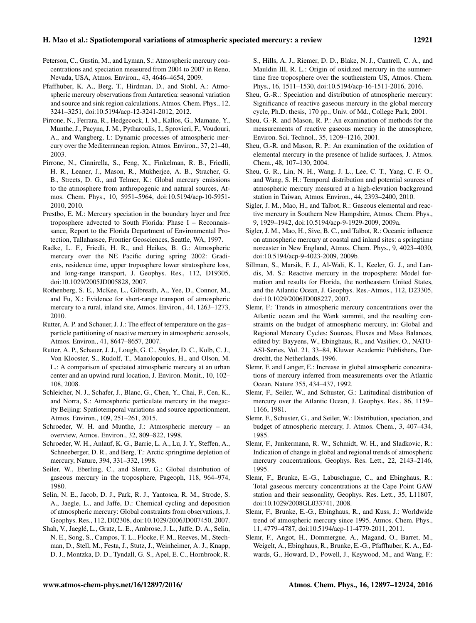- Peterson, C., Gustin, M., and Lyman, S.: Atmospheric mercury concentrations and speciation measured from 2004 to 2007 in Reno, Nevada, USA, Atmos. Environ., 43, 4646–4654, 2009.
- Pfaffhuber, K. A., Berg, T., Hirdman, D., and Stohl, A.: Atmospheric mercury observations from Antarctica: seasonal variation and source and sink region calculations, Atmos. Chem. Phys., 12, 3241–3251, doi[:10.5194/acp-12-3241-2012,](http://dx.doi.org/10.5194/acp-12-3241-2012) 2012.
- Pirrone, N., Ferrara, R., Hedgecock, I. M., Kallos, G., Mamane, Y., Munthe, J., Pacyna, J. M., Pytharoulis, I., Sprovieri, F., Voudouri, A., and Wangberg, I.: Dynamic processes of atmospheric mercury over the Mediterranean region, Atmos. Environ., 37, 21–40, 2003.
- Pirrone, N., Cinnirella, S., Feng, X., Finkelman, R. B., Friedli, H. R., Leaner, J., Mason, R., Mukherjee, A. B., Stracher, G. B., Streets, D. G., and Telmer, K.: Global mercury emissions to the atmosphere from anthropogenic and natural sources, Atmos. Chem. Phys., 10, 5951–5964, doi[:10.5194/acp-10-5951-](http://dx.doi.org/10.5194/acp-10-5951-2010) [2010,](http://dx.doi.org/10.5194/acp-10-5951-2010) 2010.
- Prestbo, E. M.: Mercury speciation in the boundary layer and free troposphere advected to South Florida: Phase I – Reconnaissance, Report to the Florida Department of Environmental Protection, Tallahassee, Frontier Geosciences, Seattle, WA, 1997.
- Radke, L. F., Friedli, H. R., and Heikes, B. G.: Atmospheric mercury over the NE Pacific during spring 2002: Gradients, residence time, upper troposphere lower stratosphere loss, and long-range transport, J. Geophys. Res., 112, D19305, doi[:10.1029/2005JD005828,](http://dx.doi.org/10.1029/2005JD005828) 2007.
- Rothenberg, S. E., McKee, L., Gilbreath, A., Yee, D., Connor, M., and Fu, X.: Evidence for short-range transport of atmospheric mercury to a rural, inland site, Atmos. Environ., 44, 1263–1273, 2010.
- Rutter, A. P. and Schauer, J. J.: The effect of temperature on the gas– particle partitioning of reactive mercury in atmospheric aerosols, Atmos. Environ., 41, 8647–8657, 2007.
- Rutter, A. P., Schauer, J. J., Lough, G. C., Snyder, D. C., Kolb, C. J., Von Klooster, S., Rudolf, T., Manolopoulos, H., and Olson, M. L.: A comparison of speciated atmospheric mercury at an urban center and an upwind rural location, J. Environ. Monit., 10, 102– 108, 2008.
- Schleicher, N. J., Schafer, J., Blanc, G., Chen, Y., Chai, F., Cen, K., and Norra, S.: Atmospheric particulate mercury in the megacity Beijing: Spatiotemporal variations and source apportionment, Atmos. Environ., 109, 251–261, 2015.
- Schroeder, W. H. and Munthe, J.: Atmospheric mercury an overview, Atmos. Environ., 32, 809–822, 1998.
- Schroeder, W. H., Anlauf, K. G., Barrie, L. A., Lu, J. Y., Steffen, A., Schneeberger, D. R., and Berg, T.: Arctic springtime depletion of mercury, Nature, 394, 331–332, 1998.
- Seiler, W., Eberling, C., and Slemr, G.: Global distribution of gaseous mercury in the troposphere, Pageoph, 118, 964–974, 1980.
- Selin, N. E., Jacob, D. J., Park, R. J., Yantosca, R. M., Strode, S. A., Jaegle, L., and Jaffe, D.: Chemical cycling and deposition of atmospheric mercury: Global constraints from observations, J. Geophys. Res., 112, D02308, doi[:10.1029/2006JD007450,](http://dx.doi.org/10.1029/2006JD007450) 2007.
- Shah, V., Jaeglé, L., Gratz, L. E., Ambrose, J. L., Jaffe, D. A., Selin, N. E., Song, S., Campos, T. L., Flocke, F. M., Reeves, M., Stechman, D., Stell, M., Festa, J., Stutz, J., Weinheimer, A. J., Knapp, D. J., Montzka, D. D., Tyndall, G. S., Apel, E. C., Hornbrook, R.

S., Hills, A. J., Riemer, D. D., Blake, N. J., Cantrell, C. A., and Mauldin III, R. L.: Origin of oxidized mercury in the summertime free troposphere over the southeastern US, Atmos. Chem. Phys., 16, 1511–1530, doi[:10.5194/acp-16-1511-2016,](http://dx.doi.org/10.5194/acp-16-1511-2016) 2016.

- Sheu, G.-R.: Speciation and distribution of atmospheric mercury: Significance of reactive gaseous mercury in the global mercury cycle, Ph.D. thesis, 170 pp., Univ. of Md., College Park, 2001.
- Sheu, G.-R. and Mason, R. P.: An examination of methods for the measurements of reactive gaseous mercury in the atmosphere, Environ. Sci. Technol., 35, 1209–1216, 2001.
- Sheu, G.-R. and Mason, R. P.: An examination of the oxidation of elemental mercury in the presence of halide surfaces, J. Atmos. Chem., 48, 107–130, 2004.
- Sheu, G. R., Lin, N. H., Wang, J. L., Lee, C. T., Yang, C. F. O., and Wang, S. H.: Temporal distribution and potential sources of atmospheric mercury measured at a high-elevation background station in Taiwan, Atmos. Environ., 44, 2393–2400, 2010.
- Sigler, J. M., Mao, H., and Talbot, R.: Gaseous elemental and reactive mercury in Southern New Hampshire, Atmos. Chem. Phys., 9, 1929–1942, doi[:10.5194/acp-9-1929-2009,](http://dx.doi.org/10.5194/acp-9-1929-2009) 2009a.
- Sigler, J. M., Mao, H., Sive, B. C., and Talbot, R.: Oceanic influence on atmospheric mercury at coastal and inland sites: a springtime noreaster in New England, Atmos. Chem. Phys., 9, 4023–4030, doi[:10.5194/acp-9-4023-2009,](http://dx.doi.org/10.5194/acp-9-4023-2009) 2009b.
- Sillman, S., Marsik, F. J., Al-Wali, K. I., Keeler, G. J., and Landis, M. S.: Reactive mercury in the troposphere: Model formation and results for Florida, the northeastern United States, and the Atlantic Ocean, J. Geophys. Res.-Atmos., 112, D23305, doi[:10.1029/2006JD008227,](http://dx.doi.org/10.1029/2006JD008227) 2007.
- Slemr, F.: Trends in atmospheric mercury concentrations over the Atlantic ocean and the Wank summit, and the resulting constraints on the budget of atmospheric mercury, in: Global and Regional Mercury Cycles: Sources, Fluxes and Mass Balances, edited by: Bayyens, W., Ebinghaus, R., and Vasiliev, O., NATO-ASI-Series, Vol. 21, 33–84, Kluwer Academic Publishers, Dordrecht, the Netherlands, 1996.
- Slemr, F. and Langer, E.: Increase in global atmospheric concentrations of mercury inferred from measurements over the Atlantic Ocean, Nature 355, 434–437, 1992.
- Slemr, F., Seiler, W., and Schuster, G.: Latitudinal distribution of mercury over the Atlantic Ocean, J. Geophys. Res., 86, 1159– 1166, 1981.
- Slemr, F., Schuster, G., and Seiler, W.: Distribution, speciation, and budget of atmospheric mercury, J. Atmos. Chem., 3, 407–434, 1985.
- Slemr, F., Junkermann, R. W., Schmidt, W. H., and Sladkovic, R.: Indication of change in global and regional trends of atmospheric mercury concentrations, Geophys. Res. Lett., 22, 2143–2146, 1995.
- Slemr, F., Brunke, E.-G., Labuschagne, C., and Ebinghaus, R.: Total gaseous mercury concentrations at the Cape Point GAW station and their seasonality, Geophys. Res. Lett., 35, L11807, doi[:10.1029/2008GL033741,](http://dx.doi.org/10.1029/2008GL033741) 2008.
- Slemr, F., Brunke, E.-G., Ebinghaus, R., and Kuss, J.: Worldwide trend of atmospheric mercury since 1995, Atmos. Chem. Phys., 11, 4779–4787, doi[:10.5194/acp-11-4779-2011,](http://dx.doi.org/10.5194/acp-11-4779-2011) 2011.
- Slemr, F., Angot, H., Dommergue, A., Magand, O., Barret, M., Weigelt, A., Ebinghaus, R., Brunke, E.-G., Pfaffhuber, K. A., Edwards, G., Howard, D., Powell, J., Keywood, M., and Wang, F.: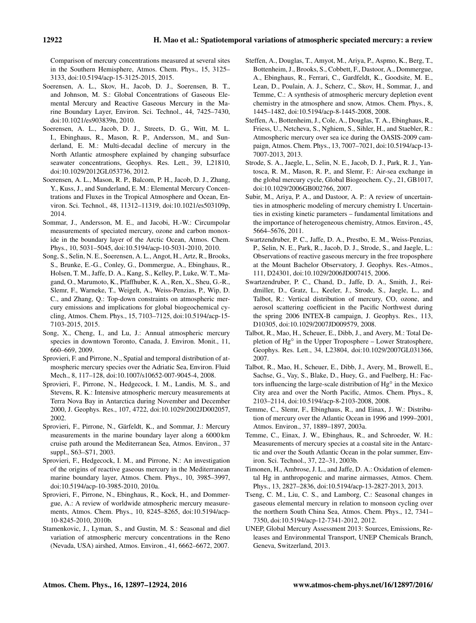Comparison of mercury concentrations measured at several sites in the Southern Hemisphere, Atmos. Chem. Phys., 15, 3125– 3133, doi[:10.5194/acp-15-3125-2015,](http://dx.doi.org/10.5194/acp-15-3125-2015) 2015.

- Soerensen, A. L., Skov, H., Jacob, D. J., Soerensen, B. T., and Johnson, M. S.: Global Concentrations of Gaseous Elemental Mercury and Reactive Gaseous Mercury in the Marine Boundary Layer, Environ. Sci. Technol., 44, 7425–7430, doi[:10.1021/es903839n,](http://dx.doi.org/10.1021/es903839n) 2010.
- Soerensen, A. L., Jacob, D. J., Streets, D. G., Witt, M. L. I., Ebinghaus, R., Mason, R. P., Andersson, M., and Sunderland, E. M.: Multi-decadal decline of mercury in the North Atlantic atmosphere explained by changing subsurface seawater concentrations, Geophys. Res. Lett., 39, L21810, doi[:10.1029/2012GL053736,](http://dx.doi.org/10.1029/2012GL053736) 2012.
- Soerensen, A. L., Mason, R. P., Balcom, P. H., Jacob, D. J., Zhang, Y., Kuss, J., and Sunderland, E. M.: Elemental Mercury Concentrations and Fluxes in the Tropical Atmosphere and Ocean, Environ. Sci. Technol., 48, 11312–11319, doi[:10.1021/es503109p,](http://dx.doi.org/10.1021/es503109p) 2014.
- Sommar, J., Andersson, M. E., and Jacobi, H.-W.: Circumpolar measurements of speciated mercury, ozone and carbon monoxide in the boundary layer of the Arctic Ocean, Atmos. Chem. Phys., 10, 5031–5045, doi[:10.5194/acp-10-5031-2010,](http://dx.doi.org/10.5194/acp-10-5031-2010) 2010.
- Song, S., Selin, N. E., Soerensen, A. L., Angot, H., Artz, R., Brooks, S., Brunke, E.-G., Conley, G., Dommergue, A., Ebinghaus, R., Holsen, T. M., Jaffe, D. A., Kang, S., Kelley, P., Luke, W. T., Magand, O., Marumoto, K., Pfaffhuber, K. A., Ren, X., Sheu, G.-R., Slemr, F., Warneke, T., Weigelt, A., Weiss-Penzias, P., Wip, D. C., and Zhang, Q.: Top-down constraints on atmospheric mercury emissions and implications for global biogeochemical cycling, Atmos. Chem. Phys., 15, 7103–7125, doi[:10.5194/acp-15-](http://dx.doi.org/10.5194/acp-15-7103-2015) [7103-2015,](http://dx.doi.org/10.5194/acp-15-7103-2015) 2015.
- Song, X., Cheng, I., and Lu, J.: Annual atmospheric mercury species in downtown Toronto, Canada, J. Environ. Monit., 11, 660–669, 2009.
- Sprovieri, F. and Pirrone, N., Spatial and temporal distribution of atmospheric mercury species over the Adriatic Sea, Environ. Fluid Mech., 8, 117–128, doi[:10.1007/s10652-007-9045-4,](http://dx.doi.org/10.1007/s10652-007-9045-4) 2008.
- Sprovieri, F., Pirrone, N., Hedgecock, I. M., Landis, M. S., and Stevens, R. K.: Intensive atmospheric mercury measurements at Terra Nova Bay in Antarctica during November and December 2000, J. Geophys. Res., 107, 4722, doi[:10.1029/2002JD002057,](http://dx.doi.org/10.1029/2002JD002057) 2002.
- Sprovieri, F., Pirrone, N., Gärfeldt, K., and Sommar, J.: Mercury measurements in the marine boundary layer along a 6000 km cruise path around the Mediterranean Sea, Atmos. Environ., 37 suppl., S63–S71, 2003.
- Sprovieri, F., Hedgecock, I. M., and Pirrone, N.: An investigation of the origins of reactive gaseous mercury in the Mediterranean marine boundary layer, Atmos. Chem. Phys., 10, 3985–3997, doi[:10.5194/acp-10-3985-2010,](http://dx.doi.org/10.5194/acp-10-3985-2010) 2010a.
- Sprovieri, F., Pirrone, N., Ebinghaus, R., Kock, H., and Dommergue, A.: A review of worldwide atmospheric mercury measurements, Atmos. Chem. Phys., 10, 8245–8265, doi[:10.5194/acp-](http://dx.doi.org/10.5194/acp-10-8245-2010)[10-8245-2010,](http://dx.doi.org/10.5194/acp-10-8245-2010) 2010b.
- Stamenkovic, J., Lyman, S., and Gustin, M. S.: Seasonal and diel variation of atmospheric mercury concentrations in the Reno (Nevada, USA) airshed, Atmos. Environ., 41, 6662–6672, 2007.
- Steffen, A., Douglas, T., Amyot, M., Ariya, P., Aspmo, K., Berg, T., Bottenheim, J., Brooks, S., Cobbett, F., Dastoor, A., Dommergue, A., Ebinghaus, R., Ferrari, C., Gardfeldt, K., Goodsite, M. E., Lean, D., Poulain, A. J., Scherz, C., Skov, H., Sommar, J., and Temme, C.: A synthesis of atmospheric mercury depletion event chemistry in the atmosphere and snow, Atmos. Chem. Phys., 8, 1445–1482, doi[:10.5194/acp-8-1445-2008,](http://dx.doi.org/10.5194/acp-8-1445-2008) 2008.
- Steffen, A., Bottenheim, J., Cole, A., Douglas, T. A., Ebinghaus, R., Friess, U., Netcheva, S., Nghiem, S., Sihler, H., and Staebler, R.: Atmospheric mercury over sea ice during the OASIS-2009 campaign, Atmos. Chem. Phys., 13, 7007–7021, doi[:10.5194/acp-13-](http://dx.doi.org/10.5194/acp-13-7007-2013) [7007-2013,](http://dx.doi.org/10.5194/acp-13-7007-2013) 2013.
- Strode, S. A., Jaegle, L., Selin, N. E., Jacob, D. J., Park, R. J., Yantosca, R. M., Mason, R. P., and Slemr, F.: Air-sea exchange in the global mercury cycle, Global Biogeochem. Cy., 21, GB1017, doi[:10.1029/2006GB002766,](http://dx.doi.org/10.1029/2006GB002766) 2007.
- Subir, M., Ariya, P. A., and Dastoor, A. P.: A review of uncertainties in atmospheric modeling of mercury chemistry I. Uncertainties in existing kinetic parameters – fundamental limitations and the importance of heterogeneous chemistry, Atmos. Environ., 45, 5664–5676, 2011.
- Swartzendruber, P. C., Jaffe, D. A., Prestbo, E. M., Weiss-Penzias, P., Selin, N. E., Park, R., Jacob, D. J., Strode, S., and Jaegle, L.: Observations of reactive gaseous mercury in the free troposphere at the Mount Bachelor Observatory, J. Geophys. Res.-Atmos., 111, D24301, doi[:10.1029/2006JD007415,](http://dx.doi.org/10.1029/2006JD007415) 2006.
- Swartzendruber, P. C., Chand, D., Jaffe, D. A., Smith, J., Reidmiller, D., Gratz, L., Keeler, J., Strode, S., Jaegle, L., and Talbot, R.: Vertical distribution of mercury, CO, ozone, and aerosol scattering coefficient in the Pacific Northwest during the spring 2006 INTEX-B campaign, J. Geophys. Res., 113, D10305, doi[:10.1029/2007JD009579,](http://dx.doi.org/10.1029/2007JD009579) 2008.
- Talbot, R., Mao, H., Scheuer, E., Dibb, J., and Avery, M.: Total Depletion of Hg<sup>o</sup> in the Upper Troposphere – Lower Stratosphere, Geophys. Res. Lett., 34, L23804, doi[:10.1029/2007GL031366,](http://dx.doi.org/10.1029/2007GL031366) 2007.
- Talbot, R., Mao, H., Scheuer, E., Dibb, J., Avery, M., Browell, E., Sachse, G., Vay, S., Blake, D., Huey, G., and Fuelberg, H.: Factors influencing the large-scale distribution of Hg<sup>o</sup> in the Mexico City area and over the North Pacific, Atmos. Chem. Phys., 8, 2103–2114, doi[:10.5194/acp-8-2103-2008,](http://dx.doi.org/10.5194/acp-8-2103-2008) 2008.
- Temme, C., Slemr, F., Ebinghaus, R., and Einax, J. W.: Distribution of mercury over the Atlantic Ocean in 1996 and 1999–2001, Atmos. Environ., 37, 1889–1897, 2003a.
- Temme, C., Einax, J. W., Ebinghaus, R., and Schroeder, W. H.: Measurements of mercury species at a coastal site in the Antarctic and over the South Atlantic Ocean in the polar summer, Environ. Sci. Technol., 37, 22–31, 2003b.
- Timonen, H., Ambrose, J. L., and Jaffe, D. A.: Oxidation of elemental Hg in anthropogenic and marine airmasses, Atmos. Chem. Phys., 13, 2827–2836, doi[:10.5194/acp-13-2827-2013,](http://dx.doi.org/10.5194/acp-13-2827-2013) 2013.
- Tseng, C. M., Liu, C. S., and Lamborg, C.: Seasonal changes in gaseous elemental mercury in relation to monsoon cycling over the northern South China Sea, Atmos. Chem. Phys., 12, 7341– 7350, doi[:10.5194/acp-12-7341-2012,](http://dx.doi.org/10.5194/acp-12-7341-2012) 2012.
- UNEP, Global Mercury Assessment 2013: Sources, Emissions, Releases and Environmental Transport, UNEP Chemicals Branch, Geneva, Switzerland, 2013.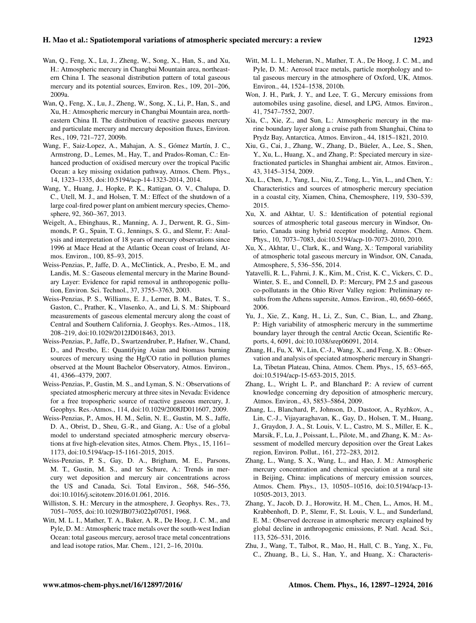- Wan, Q., Feng, X., Lu, J., Zheng, W., Song, X., Han, S., and Xu, H.: Atmospheric mercury in Changbai Mountain area, northeastern China I. The seasonal distribution pattern of total gaseous mercury and its potential sources, Environ. Res., 109, 201–206, 2009a.
- Wan, Q., Feng, X., Lu, J., Zheng, W., Song, X., Li, P., Han, S., and Xu, H.: Atmospheric mercury in Changbai Mountain area, northeastern China II. The distribution of reactive gaseous mercury and particulate mercury and mercury deposition fluxes, Environ. Res., 109, 721–727, 2009b.
- Wang, F., Saiz-Lopez, A., Mahajan, A. S., Gómez Martín, J. C., Armstrong, D., Lemes, M., Hay, T., and Prados-Roman, C.: Enhanced production of oxidised mercury over the tropical Pacific Ocean: a key missing oxidation pathway, Atmos. Chem. Phys., 14, 1323–1335, doi[:10.5194/acp-14-1323-2014,](http://dx.doi.org/10.5194/acp-14-1323-2014) 2014.
- Wang, Y., Huang, J., Hopke, P. K., Rattigan, O. V., Chalupa, D. C., Utell, M. J., and Holsen, T. M.: Effect of the shutdown of a large coal-fired power plant on ambient mercury species, Chemosphere, 92, 360–367, 2013.
- Weigelt, A., Ebinghaus, R., Manning, A. J., Derwent, R. G., Simmonds, P. G., Spain, T. G., Jennings, S. G., and Slemr, F.: Analysis and interpretation of 18 years of mercury observations since 1996 at Mace Head at the Atlantic Ocean coast of Ireland, Atmos. Environ., 100, 85–93, 2015.
- Weiss-Penzias, P., Jaffe, D. A., McClintick, A., Presbo, E. M., and Landis, M. S.: Gaseous elemental mercury in the Marine Boundary Layer: Evidence for rapid removal in anthropogenic pollution, Environ. Sci. Technol., 37, 3755–3763, 2003.
- Weiss-Penzias, P. S., Williams, E. J., Lerner, B. M., Bates, T. S., Gaston, C., Prather, K., Vlasenko, A., and Li, S. M.: Shipboard measurements of gaseous elemental mercury along the coast of Central and Southern California, J. Geophys. Res.-Atmos., 118, 208–219, doi[:10.1029/2012JD018463,](http://dx.doi.org/10.1029/2012JD018463) 2013.
- Weiss-Penzias, P., Jaffe, D., Swartzendruber, P., Hafner, W., Chand, D., and Prestbo, E.: Quantifying Asian and biomass burning sources of mercury using the Hg/CO ratio in pollution plumes observed at the Mount Bachelor Observatory, Atmos. Environ., 41, 4366–4379, 2007.
- Weiss-Penzias, P., Gustin, M. S., and Lyman, S. N.: Observations of speciated atmospheric mercury at three sites in Nevada: Evidence for a free tropospheric source of reactive gaseous mercury, J. Geophys. Res.-Atmos., 114, doi[:10.1029/2008JD011607,](http://dx.doi.org/10.1029/2008JD011607) 2009.
- Weiss-Penzias, P., Amos, H. M., Selin, N. E., Gustin, M. S., Jaffe, D. A., Obrist, D., Sheu, G.-R., and Giang, A.: Use of a global model to understand speciated atmospheric mercury observations at five high-elevation sites, Atmos. Chem. Phys., 15, 1161– 1173, doi[:10.5194/acp-15-1161-2015,](http://dx.doi.org/10.5194/acp-15-1161-2015) 2015.
- Weiss-Penzias, P. S., Gay, D. A., Brigham, M. E., Parsons, M. T., Gustin, M. S., and ter Schure, A.: Trends in mercury wet deposition and mercury air concentrations across the US and Canada, Sci. Total Environ., 568, 546–556, doi[:10.1016/j.scitotenv.2016.01.061,](http://dx.doi.org/10.1016/j.scitotenv.2016.01.061) 2016.
- Williston, S. H.: Mercury in the atmosphere, J. Geophys. Res., 73, 7051–7055, doi[:10.1029/JB073i022p07051,](http://dx.doi.org/10.1029/JB073i022p07051) 1968.
- Witt, M. L. I., Mather, T. A., Baker, A. R., De Hoog, J. C. M., and Pyle, D. M.: Atmospheric trace metals over the south-west Indian Ocean: total gaseous mercury, aerosol trace metal concentrations and lead isotope ratios, Mar. Chem., 121, 2–16, 2010a.
- Witt, M. L. I., Meheran, N., Mather, T. A., De Hoog, J. C. M., and Pyle, D. M.: Aerosol trace metals, particle morphology and total gaseous mercury in the atmosphere of Oxford, UK, Atmos. Environ., 44, 1524–1538, 2010b.
- Won, J. H., Park, J. Y., and Lee, T. G., Mercury emissions from automobiles using gasoline, diesel, and LPG, Atmos. Environ., 41, 7547–7552, 2007.
- Xia, C., Xie, Z., and Sun, L.: Atmospheric mercury in the marine boundary layer along a cruise path from Shanghai, China to Prydz Bay, Antarctica, Atmos. Environ., 44, 1815–1821, 2010.
- Xiu, G., Cai, J., Zhang, W., Zhang, D., Büeler, A., Lee, S., Shen, Y., Xu, L., Huang, X., and Zhang, P.: Speciated mercury in sizefractionated particles in Shanghai ambient air, Atmos. Environ., 43, 3145–3154, 2009.
- Xu, L., Chen, J., Yang, L., Niu, Z., Tong, L., Yin, L., and Chen, Y.: Characteristics and sources of atmospheric mercury speciation in a coastal city, Xiamen, China, Chemosphere, 119, 530–539, 2015.
- Xu, X. and Akhtar, U. S.: Identification of potential regional sources of atmospheric total gaseous mercury in Windsor, Ontario, Canada using hybrid receptor modeling, Atmos. Chem. Phys., 10, 7073–7083, doi[:10.5194/acp-10-7073-2010,](http://dx.doi.org/10.5194/acp-10-7073-2010) 2010.
- Xu, X., Akhtar, U., Clark, K., and Wang, X.: Temporal variability of atmospheric total gaseous mercury in Windsor, ON, Canada, Atmosphere, 5, 536–556, 2014.
- Yatavelli, R. L., Fahrni, J. K., Kim, M., Crist, K. C., Vickers, C. D., Winter, S. E., and Connell, D. P.: Mercury, PM 2.5 and gaseous co-pollutants in the Ohio River Valley region: Preliminary results from the Athens supersite, Atmos. Environ., 40, 6650–6665, 2006.
- Yu, J., Xie, Z., Kang, H., Li, Z., Sun, C., Bian, L., and Zhang, P.: High variability of atmospheric mercury in the summertime boundary layer through the central Arctic Ocean, Scientific Reports, 4, 6091, doi[:10.1038/srep06091,](http://dx.doi.org/10.1038/srep06091) 2014.
- Zhang, H., Fu, X. W., Lin, C.-J., Wang, X., and Feng, X. B.: Observation and analysis of speciated atmospheric mercury in Shangri-La, Tibetan Plateau, China, Atmos. Chem. Phys., 15, 653–665, doi[:10.5194/acp-15-653-2015,](http://dx.doi.org/10.5194/acp-15-653-2015) 2015.
- Zhang, L., Wright L. P., and Blanchard P.: A review of current knowledge concerning dry deposition of atmospheric mercury, Atmos. Environ., 43, 5853–5864, 2009.
- Zhang, L., Blanchard, P., Johnson, D., Dastoor, A., Ryzhkov, A., Lin, C.-J., Vijayaraghavan, K., Gay, D., Holsen, T. M., Huang, J., Graydon, J. A., St. Louis, V. L., Castro, M. S., Miller, E. K., Marsik, F., Lu, J., Poissant, L., Pilote, M., and Zhang, K. M.: Assessment of modelled mercury deposition over the Great Lakes region, Environ. Pollut., 161, 272–283, 2012.
- Zhang, L., Wang, S. X., Wang, L., and Hao, J. M.: Atmospheric mercury concentration and chemical speciation at a rural site in Beijing, China: implications of mercury emission sources, Atmos. Chem. Phys., 13, 10505–10516, doi[:10.5194/acp-13-](http://dx.doi.org/10.5194/acp-13-10505-2013) [10505-2013,](http://dx.doi.org/10.5194/acp-13-10505-2013) 2013.
- Zhang, Y., Jacob, D. J., Horowitz, H. M., Chen, L., Amos, H. M., Krabbenhoft, D. P., Slemr, F., St. Louis, V. L., and Sunderland, E. M.: Observed decrease in atmospheric mercury explained by global decline in anthropogenic emissions, P. Natl. Acad. Sci., 113, 526–531, 2016.
- Zhu, J., Wang, T., Talbot, R., Mao, H., Hall, C. B., Yang, X., Fu, C., Zhuang, B., Li, S., Han, Y., and Huang, X.: Characteris-